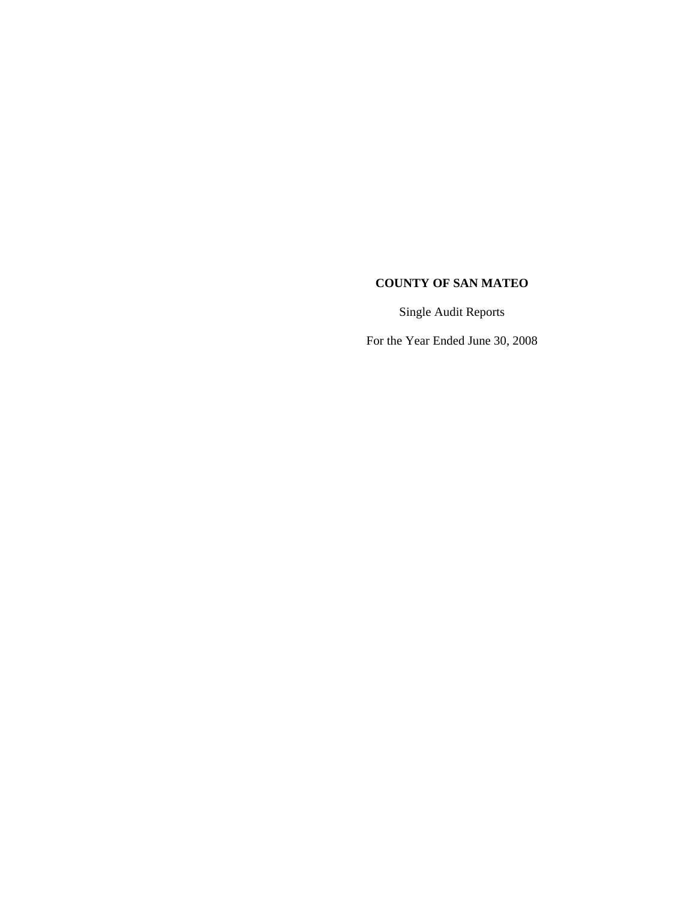Single Audit Reports

For the Year Ended June 30, 2008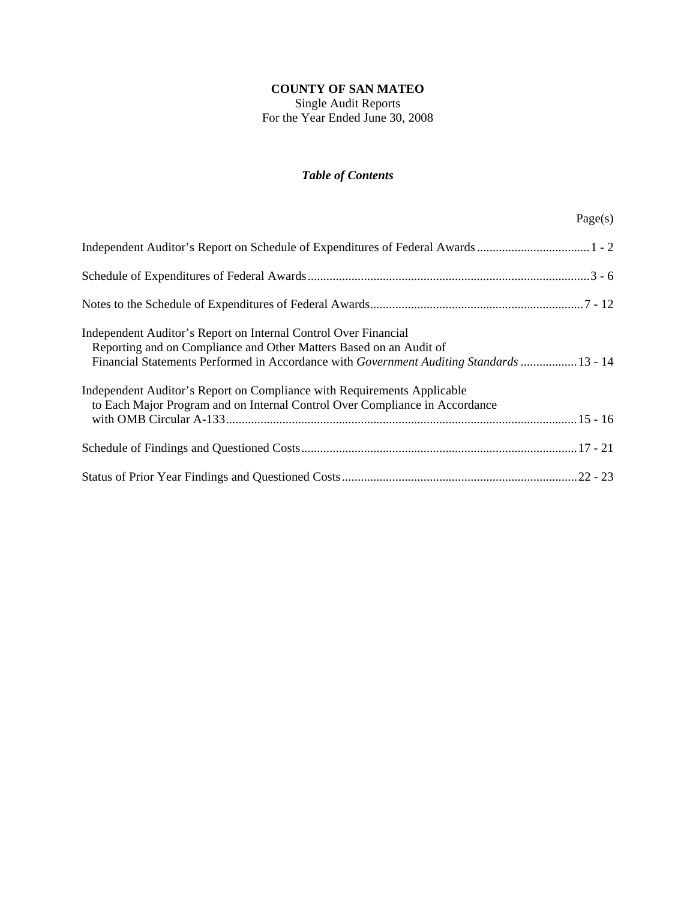Single Audit Reports For the Year Ended June 30, 2008

# *Table of Contents*

| Independent Auditor's Report on Internal Control Over Financial<br>Reporting and on Compliance and Other Matters Based on an Audit of<br>Financial Statements Performed in Accordance with Government Auditing Standards  13 - 14 |
|-----------------------------------------------------------------------------------------------------------------------------------------------------------------------------------------------------------------------------------|
| Independent Auditor's Report on Compliance with Requirements Applicable<br>to Each Major Program and on Internal Control Over Compliance in Accordance                                                                            |
|                                                                                                                                                                                                                                   |
|                                                                                                                                                                                                                                   |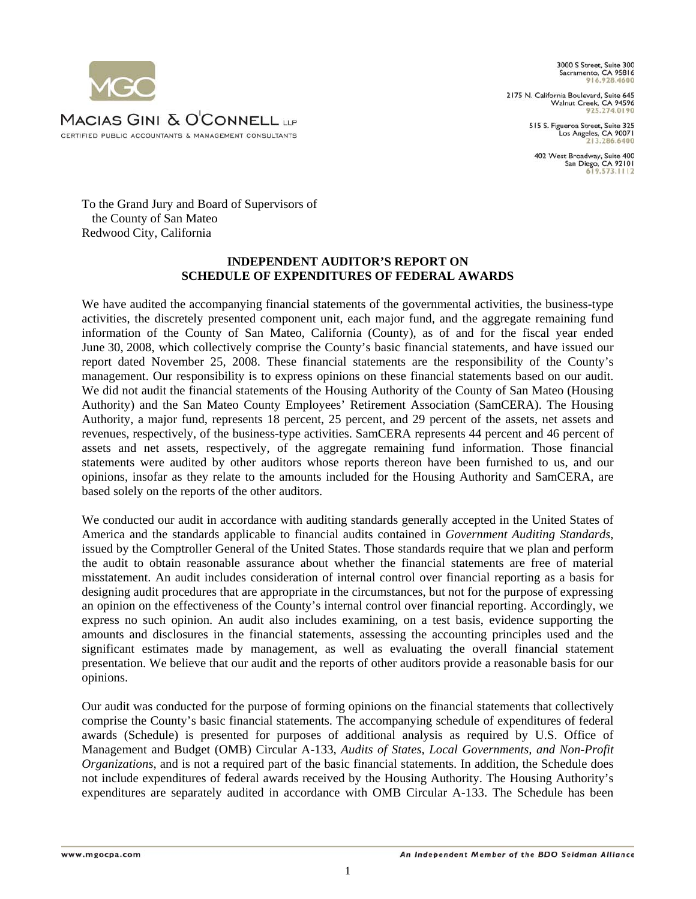

2175 N. California Boulevard, Suite 645<br>Walnut Creek, CA 94596 925.274.0190

> 515 S. Figueroa Street, Suite 325 Los Angeles, CA 90071

402 West Broadway, Suite 400 San Diego, CA 92101



To the Grand Jury and Board of Supervisors of the County of San Mateo Redwood City, California

## **INDEPENDENT AUDITOR'S REPORT ON SCHEDULE OF EXPENDITURES OF FEDERAL AWARDS**

We have audited the accompanying financial statements of the governmental activities, the business-type activities, the discretely presented component unit, each major fund, and the aggregate remaining fund information of the County of San Mateo, California (County), as of and for the fiscal year ended June 30, 2008, which collectively comprise the County's basic financial statements, and have issued our report dated November 25, 2008. These financial statements are the responsibility of the County's management. Our responsibility is to express opinions on these financial statements based on our audit. We did not audit the financial statements of the Housing Authority of the County of San Mateo (Housing Authority) and the San Mateo County Employees' Retirement Association (SamCERA). The Housing Authority, a major fund, represents 18 percent, 25 percent, and 29 percent of the assets, net assets and revenues, respectively, of the business-type activities. SamCERA represents 44 percent and 46 percent of assets and net assets, respectively, of the aggregate remaining fund information. Those financial statements were audited by other auditors whose reports thereon have been furnished to us, and our opinions, insofar as they relate to the amounts included for the Housing Authority and SamCERA, are based solely on the reports of the other auditors.

We conducted our audit in accordance with auditing standards generally accepted in the United States of America and the standards applicable to financial audits contained in *Government Auditing Standards*, issued by the Comptroller General of the United States. Those standards require that we plan and perform the audit to obtain reasonable assurance about whether the financial statements are free of material misstatement. An audit includes consideration of internal control over financial reporting as a basis for designing audit procedures that are appropriate in the circumstances, but not for the purpose of expressing an opinion on the effectiveness of the County's internal control over financial reporting. Accordingly, we express no such opinion. An audit also includes examining, on a test basis, evidence supporting the amounts and disclosures in the financial statements, assessing the accounting principles used and the significant estimates made by management, as well as evaluating the overall financial statement presentation. We believe that our audit and the reports of other auditors provide a reasonable basis for our opinions.

Our audit was conducted for the purpose of forming opinions on the financial statements that collectively comprise the County's basic financial statements. The accompanying schedule of expenditures of federal awards (Schedule) is presented for purposes of additional analysis as required by U.S. Office of Management and Budget (OMB) Circular A-133, *Audits of States, Local Governments, and Non-Profit Organizations*, and is not a required part of the basic financial statements. In addition, the Schedule does not include expenditures of federal awards received by the Housing Authority. The Housing Authority's expenditures are separately audited in accordance with OMB Circular A-133. The Schedule has been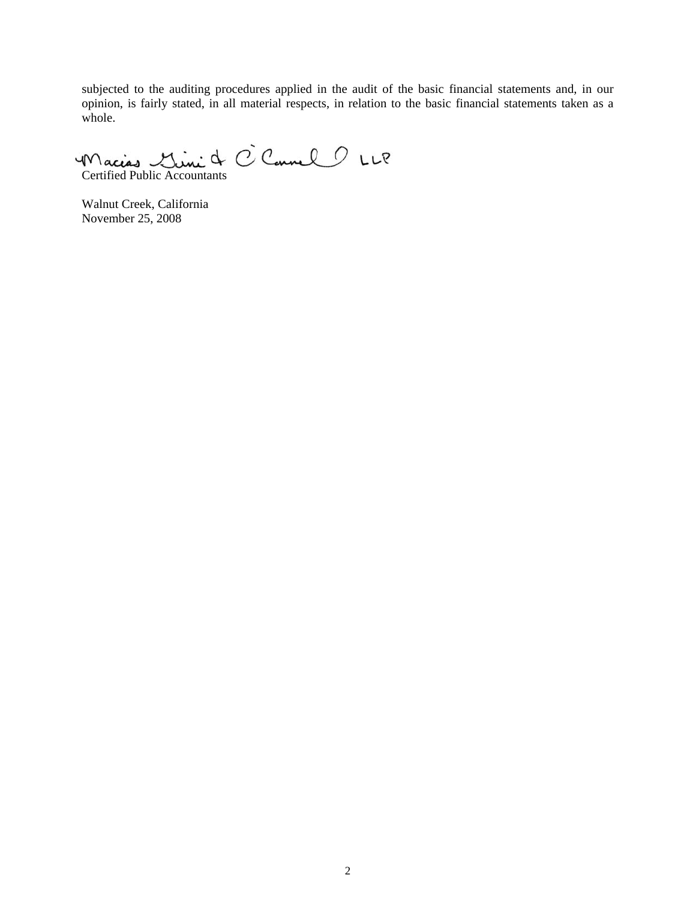subjected to the auditing procedures applied in the audit of the basic financial statements and, in our opinion, is fairly stated, in all material respects, in relation to the basic financial statements taken as a whole.

Macion Mini de C Connel 2 LLP

Walnut Creek, California November 25, 2008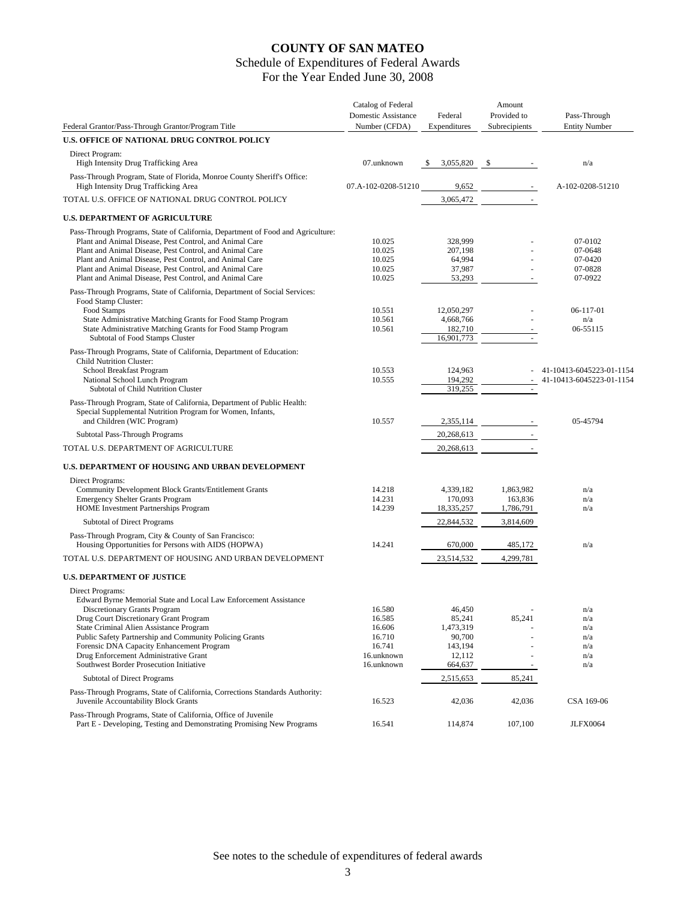# Schedule of Expenditures of Federal Awards

For the Year Ended June 30, 2008

|                                                                                                                                         | Catalog of Federal  |              | Amount        |                          |
|-----------------------------------------------------------------------------------------------------------------------------------------|---------------------|--------------|---------------|--------------------------|
|                                                                                                                                         | Domestic Assistance | Federal      | Provided to   | Pass-Through             |
| Federal Grantor/Pass-Through Grantor/Program Title                                                                                      | Number (CFDA)       | Expenditures | Subrecipients | <b>Entity Number</b>     |
| U.S. OFFICE OF NATIONAL DRUG CONTROL POLICY                                                                                             |                     |              |               |                          |
| Direct Program:                                                                                                                         |                     |              |               |                          |
| High Intensity Drug Trafficking Area                                                                                                    | 07.unknown          | 3,055,820    | -S            | n/a                      |
| Pass-Through Program, State of Florida, Monroe County Sheriff's Office:<br>High Intensity Drug Trafficking Area                         | 07.A-102-0208-51210 | 9,652        |               | A-102-0208-51210         |
| TOTAL U.S. OFFICE OF NATIONAL DRUG CONTROL POLICY                                                                                       |                     | 3,065,472    |               |                          |
| <b>U.S. DEPARTMENT OF AGRICULTURE</b>                                                                                                   |                     |              |               |                          |
| Pass-Through Programs, State of California, Department of Food and Agriculture:                                                         |                     |              |               |                          |
| Plant and Animal Disease, Pest Control, and Animal Care                                                                                 | 10.025              | 328,999      |               | 07-0102                  |
| Plant and Animal Disease, Pest Control, and Animal Care                                                                                 | 10.025              | 207,198      |               | 07-0648                  |
| Plant and Animal Disease, Pest Control, and Animal Care                                                                                 | 10.025              | 64,994       |               | 07-0420                  |
| Plant and Animal Disease, Pest Control, and Animal Care                                                                                 | 10.025              | 37,987       |               | 07-0828                  |
| Plant and Animal Disease, Pest Control, and Animal Care                                                                                 | 10.025              | 53,293       |               | 07-0922                  |
|                                                                                                                                         |                     |              |               |                          |
| Pass-Through Programs, State of California, Department of Social Services:                                                              |                     |              |               |                          |
| Food Stamp Cluster:                                                                                                                     |                     |              |               |                          |
| Food Stamps                                                                                                                             | 10.551              | 12,050,297   |               | 06-117-01                |
| State Administrative Matching Grants for Food Stamp Program                                                                             | 10.561              | 4,668,766    |               | n/a                      |
| State Administrative Matching Grants for Food Stamp Program                                                                             | 10.561              | 182,710      |               | 06-55115                 |
| Subtotal of Food Stamps Cluster                                                                                                         |                     | 16,901,773   |               |                          |
| Pass-Through Programs, State of California, Department of Education:                                                                    |                     |              |               |                          |
| <b>Child Nutrition Cluster:</b>                                                                                                         |                     |              |               |                          |
| School Breakfast Program                                                                                                                | 10.553              | 124,963      |               | 41-10413-6045223-01-1154 |
| National School Lunch Program<br>Subtotal of Child Nutrition Cluster                                                                    | 10.555              | 194,292      |               | 41-10413-6045223-01-1154 |
|                                                                                                                                         |                     | 319,255      | $\sim$        |                          |
| Pass-Through Program, State of California, Department of Public Health:<br>Special Supplemental Nutrition Program for Women, Infants,   |                     |              |               |                          |
| and Children (WIC Program)                                                                                                              | 10.557              | 2,355,114    |               | 05-45794                 |
| Subtotal Pass-Through Programs                                                                                                          |                     | 20,268,613   |               |                          |
| TOTAL U.S. DEPARTMENT OF AGRICULTURE                                                                                                    |                     | 20,268,613   |               |                          |
| U.S. DEPARTMENT OF HOUSING AND URBAN DEVELOPMENT                                                                                        |                     |              |               |                          |
|                                                                                                                                         |                     |              |               |                          |
| Direct Programs:                                                                                                                        |                     |              |               |                          |
| Community Development Block Grants/Entitlement Grants                                                                                   | 14.218              | 4,339,182    | 1,863,982     | n/a                      |
| <b>Emergency Shelter Grants Program</b>                                                                                                 | 14.231              | 170,093      | 163,836       | n/a                      |
| HOME Investment Partnerships Program                                                                                                    | 14.239              | 18,335,257   | 1,786,791     | n/a                      |
| <b>Subtotal of Direct Programs</b>                                                                                                      |                     | 22,844,532   | 3,814,609     |                          |
|                                                                                                                                         |                     |              |               |                          |
| Pass-Through Program, City & County of San Francisco:<br>Housing Opportunities for Persons with AIDS (HOPWA)                            | 14.241              | 670,000      | 485,172       | n/a                      |
|                                                                                                                                         |                     |              |               |                          |
| TOTAL U.S. DEPARTMENT OF HOUSING AND URBAN DEVELOPMENT                                                                                  |                     | 23,514,532   | 4,299,781     |                          |
| <b>U.S. DEPARTMENT OF JUSTICE</b>                                                                                                       |                     |              |               |                          |
| Direct Programs:                                                                                                                        |                     |              |               |                          |
| Edward Byrne Memorial State and Local Law Enforcement Assistance                                                                        |                     |              |               |                          |
| Discretionary Grants Program                                                                                                            | 16.580              | 46,450       |               | n/a                      |
| Drug Court Discretionary Grant Program                                                                                                  | 16.585              | 85,241       | 85,241        | n/a                      |
| State Criminal Alien Assistance Program                                                                                                 | 16.606              | 1,473,319    |               | n/a                      |
| Public Safety Partnership and Community Policing Grants                                                                                 | 16.710              | 90,700       |               |                          |
|                                                                                                                                         |                     |              |               | n/a                      |
| Forensic DNA Capacity Enhancement Program                                                                                               | 16.741              | 143,194      |               | n/a                      |
| Drug Enforcement Administrative Grant                                                                                                   | 16.unknown          | 12,112       |               | n/a                      |
| Southwest Border Prosecution Initiative                                                                                                 | 16.unknown          | 664,637      |               | n/a                      |
| <b>Subtotal of Direct Programs</b>                                                                                                      |                     | 2,515,653    | 85,241        |                          |
| Pass-Through Programs, State of California, Corrections Standards Authority:<br>Juvenile Accountability Block Grants                    | 16.523              | 42,036       | 42,036        | CSA 169-06               |
|                                                                                                                                         |                     |              |               |                          |
| Pass-Through Programs, State of California, Office of Juvenile<br>Part E - Developing, Testing and Demonstrating Promising New Programs | 16.541              | 114,874      | 107,100       | <b>JLFX0064</b>          |

See notes to the schedule of expenditures of federal awards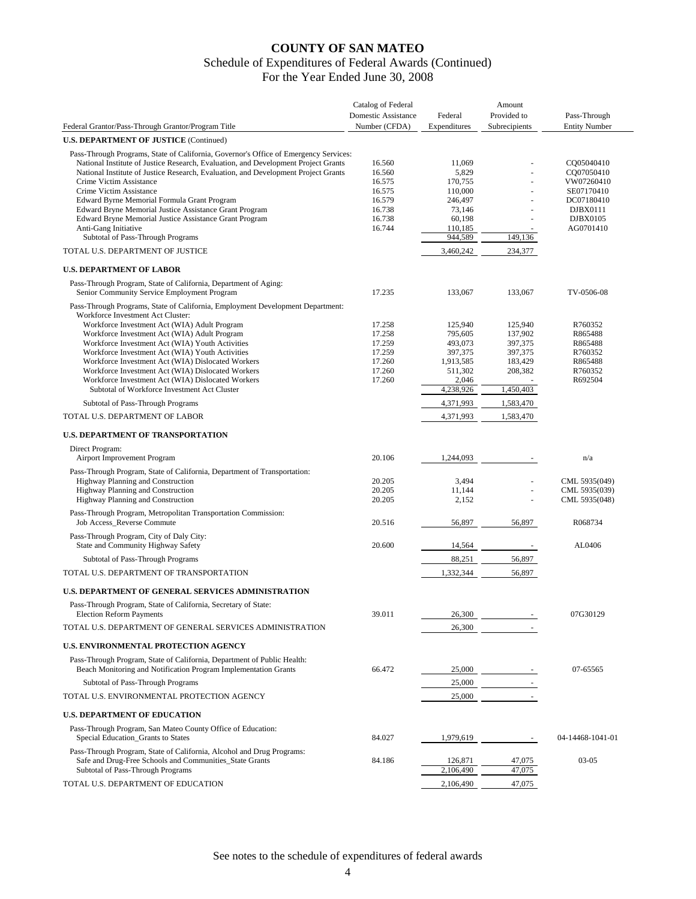|                                                                                                                     | Catalog of Federal  |                  | Amount        |                      |
|---------------------------------------------------------------------------------------------------------------------|---------------------|------------------|---------------|----------------------|
|                                                                                                                     | Domestic Assistance | Federal          | Provided to   | Pass-Through         |
| Federal Grantor/Pass-Through Grantor/Program Title                                                                  | Number (CFDA)       | Expenditures     | Subrecipients | <b>Entity Number</b> |
| <b>U.S. DEPARTMENT OF JUSTICE (Continued)</b>                                                                       |                     |                  |               |                      |
| Pass-Through Programs, State of California, Governor's Office of Emergency Services:                                |                     |                  |               |                      |
| National Institute of Justice Research, Evaluation, and Development Project Grants                                  | 16.560              | 11,069           |               | CQ05040410           |
| National Institute of Justice Research, Evaluation, and Development Project Grants                                  | 16.560              | 5,829            |               | CQ07050410           |
| Crime Victim Assistance                                                                                             | 16.575              | 170.755          |               | VW07260410           |
| Crime Victim Assistance                                                                                             | 16.575              | 110,000          | L,            | SE07170410           |
| Edward Byrne Memorial Formula Grant Program                                                                         | 16.579              | 246,497          |               | DC07180410           |
| Edward Bryne Memorial Justice Assistance Grant Program<br>Edward Bryne Memorial Justice Assistance Grant Program    | 16.738<br>16.738    | 73,146<br>60,198 |               | DJBX0111<br>DJBX0105 |
| Anti-Gang Initiative                                                                                                | 16.744              | 110,185          |               | AG0701410            |
| Subtotal of Pass-Through Programs                                                                                   |                     | 944,589          | 149,136       |                      |
| TOTAL U.S. DEPARTMENT OF JUSTICE                                                                                    |                     | 3,460,242        | 234,377       |                      |
|                                                                                                                     |                     |                  |               |                      |
| <b>U.S. DEPARTMENT OF LABOR</b>                                                                                     |                     |                  |               |                      |
| Pass-Through Program, State of California, Department of Aging:<br>Senior Community Service Employment Program      | 17.235              | 133,067          | 133,067       | TV-0506-08           |
|                                                                                                                     |                     |                  |               |                      |
| Pass-Through Programs, State of California, Employment Development Department:<br>Workforce Investment Act Cluster: |                     |                  |               |                      |
| Workforce Investment Act (WIA) Adult Program                                                                        | 17.258              | 125,940          | 125,940       | R760352              |
| Workforce Investment Act (WIA) Adult Program                                                                        | 17.258              | 795,605          | 137,902       | R865488              |
| Workforce Investment Act (WIA) Youth Activities                                                                     | 17.259              | 493,073          | 397,375       | R865488              |
| Workforce Investment Act (WIA) Youth Activities                                                                     | 17.259              | 397,375          | 397,375       | R760352              |
| Workforce Investment Act (WIA) Dislocated Workers                                                                   | 17.260              | 1,913,585        | 183,429       | R865488              |
| Workforce Investment Act (WIA) Dislocated Workers                                                                   | 17.260              | 511,302          | 208,382       | R760352              |
| Workforce Investment Act (WIA) Dislocated Workers                                                                   | 17.260              | 2,046            |               | R692504              |
| Subtotal of Workforce Investment Act Cluster                                                                        |                     | 4,238,926        | 1,450,403     |                      |
| Subtotal of Pass-Through Programs                                                                                   |                     | 4,371,993        | 1,583,470     |                      |
| TOTAL U.S. DEPARTMENT OF LABOR                                                                                      |                     | 4,371,993        | 1,583,470     |                      |
| <b>U.S. DEPARTMENT OF TRANSPORTATION</b>                                                                            |                     |                  |               |                      |
| Direct Program:                                                                                                     |                     |                  |               |                      |
| Airport Improvement Program                                                                                         | 20.106              | 1,244,093        |               | n/a                  |
| Pass-Through Program, State of California, Department of Transportation:                                            |                     |                  |               |                      |
| Highway Planning and Construction                                                                                   | 20.205              | 3,494            | L,            | CML 5935(049)        |
| Highway Planning and Construction                                                                                   | 20.205              | 11,144           | L.            | CML 5935(039)        |
| Highway Planning and Construction                                                                                   | 20.205              | 2,152            |               | CML 5935(048)        |
| Pass-Through Program, Metropolitan Transportation Commission:                                                       |                     |                  |               |                      |
| Job Access_Reverse Commute                                                                                          | 20.516              | 56,897           | 56,897        | R068734              |
|                                                                                                                     |                     |                  |               |                      |
| Pass-Through Program, City of Daly City:<br>State and Community Highway Safety                                      | 20.600              | 14,564           |               | AL0406               |
|                                                                                                                     |                     |                  |               |                      |
| Subtotal of Pass-Through Programs                                                                                   |                     | 88,251           | 56,897        |                      |
| TOTAL U.S. DEPARTMENT OF TRANSPORTATION                                                                             |                     | 1,332,344        | 56,897        |                      |
| <b>U.S. DEPARTMENT OF GENERAL SERVICES ADMINISTRATION</b>                                                           |                     |                  |               |                      |
| Pass-Through Program, State of California, Secretary of State:                                                      |                     |                  |               |                      |
| <b>Election Reform Payments</b>                                                                                     | 39.011              | 26,300           |               | 07G30129             |
| TOTAL U.S. DEPARTMENT OF GENERAL SERVICES ADMINISTRATION                                                            |                     | 26,300           |               |                      |
| U.S. ENVIRONMENTAL PROTECTION AGENCY                                                                                |                     |                  |               |                      |
| Pass-Through Program, State of California, Department of Public Health:                                             |                     |                  |               |                      |
| Beach Monitoring and Notification Program Implementation Grants                                                     | 66.472              | 25,000           |               | 07-65565             |
| Subtotal of Pass-Through Programs                                                                                   |                     | 25,000           |               |                      |
| TOTAL U.S. ENVIRONMENTAL PROTECTION AGENCY                                                                          |                     | 25,000           | $\sim$        |                      |
| <b>U.S. DEPARTMENT OF EDUCATION</b>                                                                                 |                     |                  |               |                      |
| Pass-Through Program, San Mateo County Office of Education:<br>Special Education_Grants to States                   | 84.027              | 1,979,619        |               | 04-14468-1041-01     |
|                                                                                                                     |                     |                  |               |                      |
| Pass-Through Program, State of California, Alcohol and Drug Programs:                                               |                     |                  |               |                      |
| Safe and Drug-Free Schools and Communities_State Grants                                                             | 84.186              | 126,871          | 47,075        | $03-05$              |
| Subtotal of Pass-Through Programs                                                                                   |                     | 2,106,490        | 47,075        |                      |
| TOTAL U.S. DEPARTMENT OF EDUCATION                                                                                  |                     | 2,106,490        | 47,075        |                      |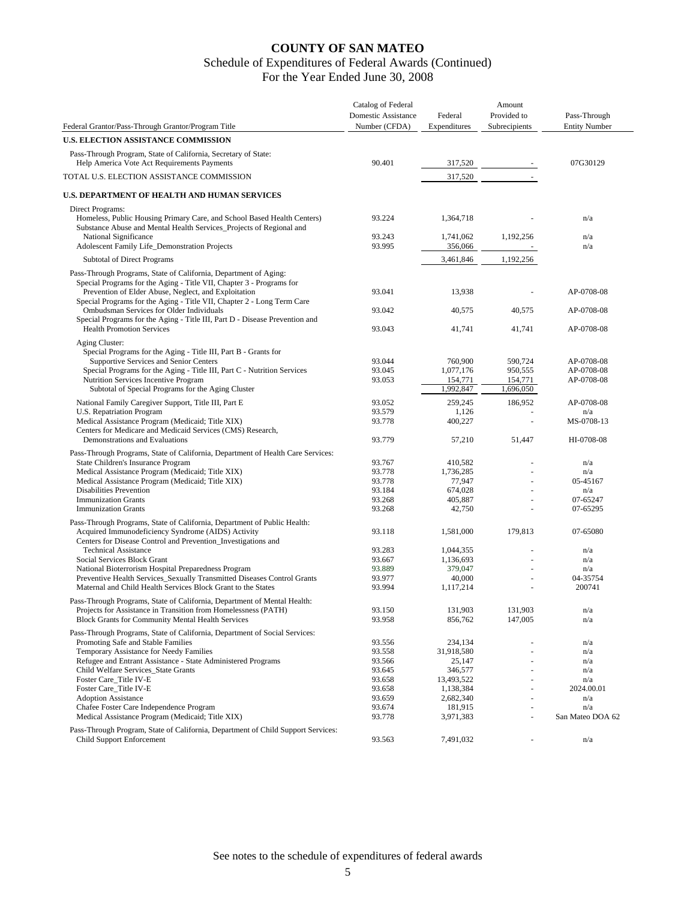# Schedule of Expenditures of Federal Awards (Continued)

For the Year Ended June 30, 2008

| Federal Grantor/Pass-Through Grantor/Program Title                                                                                             | Catalog of Federal<br>Domestic Assistance<br>Number (CFDA) | Federal<br>Expenditures | Amount<br>Provided to<br>Subrecipients | Pass-Through<br><b>Entity Number</b> |
|------------------------------------------------------------------------------------------------------------------------------------------------|------------------------------------------------------------|-------------------------|----------------------------------------|--------------------------------------|
| U.S. ELECTION ASSISTANCE COMMISSION                                                                                                            |                                                            |                         |                                        |                                      |
| Pass-Through Program, State of California, Secretary of State:<br>Help America Vote Act Requirements Payments                                  | 90.401                                                     | 317,520                 |                                        | 07G30129                             |
| TOTAL U.S. ELECTION ASSISTANCE COMMISSION                                                                                                      |                                                            | 317,520                 |                                        |                                      |
| U.S. DEPARTMENT OF HEALTH AND HUMAN SERVICES                                                                                                   |                                                            |                         |                                        |                                      |
| Direct Programs:                                                                                                                               |                                                            |                         |                                        |                                      |
| Homeless, Public Housing Primary Care, and School Based Health Centers)<br>Substance Abuse and Mental Health Services_Projects of Regional and | 93.224                                                     | 1,364,718               |                                        | n/a                                  |
| National Significance<br>Adolescent Family Life_Demonstration Projects                                                                         | 93.243<br>93.995                                           | 1,741,062<br>356,066    | 1,192,256                              | n/a<br>n/a                           |
| Subtotal of Direct Programs                                                                                                                    |                                                            | 3,461,846               | 1,192,256                              |                                      |
|                                                                                                                                                |                                                            |                         |                                        |                                      |
| Pass-Through Programs, State of California, Department of Aging:<br>Special Programs for the Aging - Title VII, Chapter 3 - Programs for       |                                                            |                         |                                        |                                      |
| Prevention of Elder Abuse, Neglect, and Exploitation                                                                                           | 93.041                                                     | 13,938                  |                                        | AP-0708-08                           |
| Special Programs for the Aging - Title VII, Chapter 2 - Long Term Care<br>Ombudsman Services for Older Individuals                             | 93.042                                                     | 40,575                  | 40,575                                 | AP-0708-08                           |
| Special Programs for the Aging - Title III, Part D - Disease Prevention and                                                                    |                                                            |                         |                                        |                                      |
| <b>Health Promotion Services</b>                                                                                                               | 93.043                                                     | 41,741                  | 41,741                                 | AP-0708-08                           |
| Aging Cluster:                                                                                                                                 |                                                            |                         |                                        |                                      |
| Special Programs for the Aging - Title III, Part B - Grants for<br>Supportive Services and Senior Centers                                      | 93.044                                                     | 760,900                 | 590,724                                | AP-0708-08                           |
| Special Programs for the Aging - Title III, Part C - Nutrition Services                                                                        | 93.045                                                     | 1,077,176               | 950,555                                | AP-0708-08                           |
| Nutrition Services Incentive Program                                                                                                           | 93.053                                                     | 154,771                 | 154,771                                | AP-0708-08                           |
| Subtotal of Special Programs for the Aging Cluster                                                                                             |                                                            | 1,992,847               | 1,696,050                              |                                      |
| National Family Caregiver Support, Title III, Part E                                                                                           | 93.052                                                     | 259,245                 | 186,952                                | AP-0708-08                           |
| U.S. Repatriation Program                                                                                                                      | 93.579                                                     | 1,126                   |                                        | n/a                                  |
| Medical Assistance Program (Medicaid; Title XIX)<br>Centers for Medicare and Medicaid Services (CMS) Research,                                 | 93.778                                                     | 400,227                 | $\overline{\phantom{a}}$               | MS-0708-13                           |
| Demonstrations and Evaluations                                                                                                                 | 93.779                                                     | 57,210                  | 51,447                                 | HI-0708-08                           |
| Pass-Through Programs, State of California, Department of Health Care Services:                                                                |                                                            |                         |                                        |                                      |
| State Children's Insurance Program                                                                                                             | 93.767                                                     | 410,582                 |                                        | n/a                                  |
| Medical Assistance Program (Medicaid; Title XIX)                                                                                               | 93.778                                                     | 1,736,285               |                                        | n/a                                  |
| Medical Assistance Program (Medicaid; Title XIX)                                                                                               | 93.778                                                     | 77,947                  |                                        | 05-45167                             |
| <b>Disabilities Prevention</b>                                                                                                                 | 93.184                                                     | 674,028                 |                                        | n/a                                  |
| <b>Immunization Grants</b><br><b>Immunization Grants</b>                                                                                       | 93.268<br>93.268                                           | 405,887<br>42,750       |                                        | 07-65247<br>07-65295                 |
|                                                                                                                                                |                                                            |                         |                                        |                                      |
| Pass-Through Programs, State of California, Department of Public Health:<br>Acquired Immunodeficiency Syndrome (AIDS) Activity                 | 93.118                                                     | 1,581,000               | 179,813                                | 07-65080                             |
| Centers for Disease Control and Prevention_Investigations and                                                                                  |                                                            |                         |                                        |                                      |
| <b>Technical Assistance</b><br>Social Services Block Grant                                                                                     | 93.283<br>93.667                                           | 1,044,355               |                                        | n/a<br>n/a                           |
| National Bioterrorism Hospital Preparedness Program                                                                                            | 93.889                                                     | 1,136,693<br>379,047    |                                        | n/a                                  |
| Preventive Health Services_Sexually Transmitted Diseases Control Grants                                                                        | 93.977                                                     | 40,000                  |                                        | 04-35754                             |
| Maternal and Child Health Services Block Grant to the States                                                                                   | 93.994                                                     | 1,117,214               |                                        | 200741                               |
| Pass-Through Programs, State of California, Department of Mental Health:                                                                       |                                                            |                         |                                        |                                      |
| Projects for Assistance in Transition from Homelessness (PATH)                                                                                 | 93.150                                                     | 131,903                 | 131,903                                | n/a                                  |
| <b>Block Grants for Community Mental Health Services</b>                                                                                       | 93.958                                                     | 856,762                 | 147,005                                | n/a                                  |
| Pass-Through Programs, State of California, Department of Social Services:                                                                     |                                                            |                         |                                        |                                      |
| Promoting Safe and Stable Families                                                                                                             | 93.556                                                     | 234,134                 | $\overline{\phantom{a}}$               | n/a                                  |
| Temporary Assistance for Needy Families<br>Refugee and Entrant Assistance - State Administered Programs                                        | 93.558<br>93.566                                           | 31,918,580<br>25,147    |                                        | n/a<br>n/a                           |
| Child Welfare Services_State Grants                                                                                                            | 93.645                                                     | 346,577                 |                                        | n/a                                  |
| Foster Care Title IV-E                                                                                                                         | 93.658                                                     | 13,493,522              |                                        | n/a                                  |
| Foster Care_Title IV-E                                                                                                                         | 93.658                                                     | 1,138,384               |                                        | 2024.00.01                           |
| <b>Adoption Assistance</b>                                                                                                                     | 93.659                                                     | 2,682,340               |                                        | n/a                                  |
| Chafee Foster Care Independence Program                                                                                                        | 93.674                                                     | 181,915                 |                                        | n/a                                  |
| Medical Assistance Program (Medicaid; Title XIX)                                                                                               | 93.778                                                     | 3,971,383               |                                        | San Mateo DOA 62                     |
| Pass-Through Program, State of California, Department of Child Support Services:                                                               |                                                            |                         |                                        |                                      |
| Child Support Enforcement                                                                                                                      | 93.563                                                     | 7,491,032               |                                        | n/a                                  |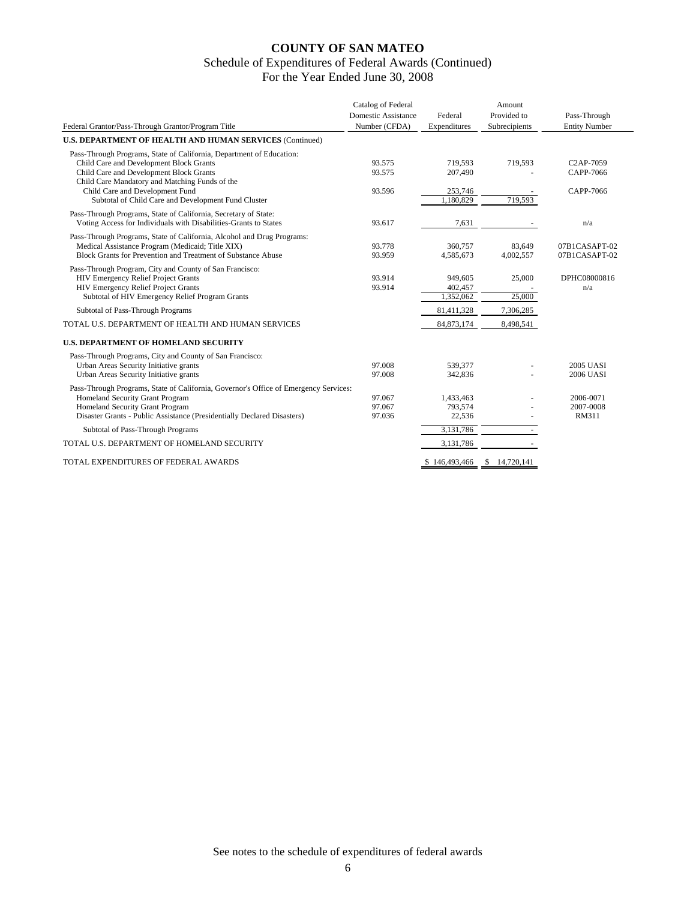|                                                                                           | Catalog of Federal  |               | Amount          |                        |
|-------------------------------------------------------------------------------------------|---------------------|---------------|-----------------|------------------------|
|                                                                                           | Domestic Assistance | Federal       | Provided to     | Pass-Through           |
| Federal Grantor/Pass-Through Grantor/Program Title                                        | Number (CFDA)       | Expenditures  | Subrecipients   | <b>Entity Number</b>   |
| U.S. DEPARTMENT OF HEALTH AND HUMAN SERVICES (Continued)                                  |                     |               |                 |                        |
| Pass-Through Programs, State of California, Department of Education:                      |                     |               |                 |                        |
| Child Care and Development Block Grants                                                   | 93.575              | 719,593       | 719,593         | C <sub>2</sub> AP-7059 |
| Child Care and Development Block Grants<br>Child Care Mandatory and Matching Funds of the | 93.575              | 207,490       |                 | CAPP-7066              |
| Child Care and Development Fund                                                           | 93.596              | 253.746       |                 | CAPP-7066              |
| Subtotal of Child Care and Development Fund Cluster                                       |                     | 1,180,829     | 719,593         |                        |
| Pass-Through Programs, State of California, Secretary of State:                           |                     |               |                 |                        |
| Voting Access for Individuals with Disabilities-Grants to States                          | 93.617              | 7,631         |                 | n/a                    |
| Pass-Through Programs, State of California, Alcohol and Drug Programs:                    |                     |               |                 |                        |
| Medical Assistance Program (Medicaid; Title XIX)                                          | 93.778              | 360,757       | 83.649          | 07B1CASAPT-02          |
| Block Grants for Prevention and Treatment of Substance Abuse                              | 93.959              | 4,585,673     | 4,002,557       | 07B1CASAPT-02          |
| Pass-Through Program, City and County of San Francisco:                                   |                     |               |                 |                        |
| HIV Emergency Relief Project Grants                                                       | 93.914              | 949,605       | 25,000          | DPHC08000816           |
| <b>HIV Emergency Relief Project Grants</b>                                                | 93.914              | 402,457       |                 | n/a                    |
| Subtotal of HIV Emergency Relief Program Grants                                           |                     | 1,352,062     | 25,000          |                        |
| Subtotal of Pass-Through Programs                                                         |                     | 81,411,328    | 7,306,285       |                        |
| TOTAL U.S. DEPARTMENT OF HEALTH AND HUMAN SERVICES                                        |                     | 84, 873, 174  | 8,498,541       |                        |
| <b>U.S. DEPARTMENT OF HOMELAND SECURITY</b>                                               |                     |               |                 |                        |
| Pass-Through Programs, City and County of San Francisco:                                  |                     |               |                 |                        |
| Urban Areas Security Initiative grants                                                    | 97.008              | 539,377       |                 | <b>2005 UASI</b>       |
| Urban Areas Security Initiative grants                                                    | 97.008              | 342,836       |                 | <b>2006 UASI</b>       |
| Pass-Through Programs, State of California, Governor's Office of Emergency Services:      |                     |               |                 |                        |
| Homeland Security Grant Program                                                           | 97.067              | 1,433,463     |                 | 2006-0071              |
| Homeland Security Grant Program                                                           | 97.067              | 793,574       |                 | 2007-0008              |
| Disaster Grants - Public Assistance (Presidentially Declared Disasters)                   | 97.036              | 22,536        |                 | <b>RM311</b>           |
| Subtotal of Pass-Through Programs                                                         |                     | 3,131,786     |                 |                        |
| TOTAL U.S. DEPARTMENT OF HOMELAND SECURITY                                                |                     | 3,131,786     |                 |                        |
| TOTAL EXPENDITURES OF FEDERAL AWARDS                                                      |                     | \$146,493,466 | 14,720,141<br>S |                        |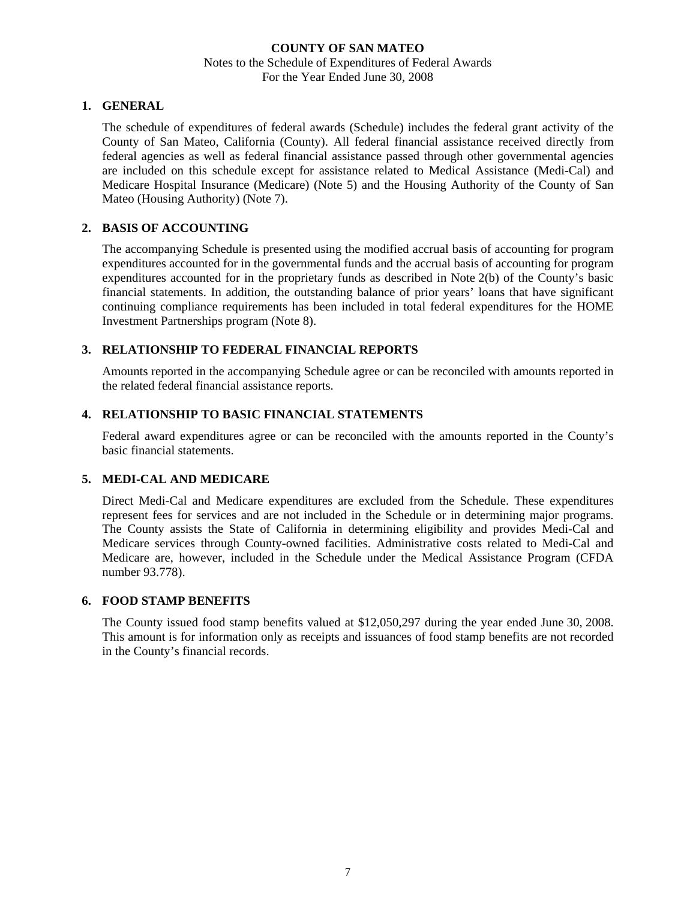## **1. GENERAL**

The schedule of expenditures of federal awards (Schedule) includes the federal grant activity of the County of San Mateo, California (County). All federal financial assistance received directly from federal agencies as well as federal financial assistance passed through other governmental agencies are included on this schedule except for assistance related to Medical Assistance (Medi-Cal) and Medicare Hospital Insurance (Medicare) (Note 5) and the Housing Authority of the County of San Mateo (Housing Authority) (Note 7).

## **2. BASIS OF ACCOUNTING**

The accompanying Schedule is presented using the modified accrual basis of accounting for program expenditures accounted for in the governmental funds and the accrual basis of accounting for program expenditures accounted for in the proprietary funds as described in Note 2(b) of the County's basic financial statements. In addition, the outstanding balance of prior years' loans that have significant continuing compliance requirements has been included in total federal expenditures for the HOME Investment Partnerships program (Note 8).

## **3. RELATIONSHIP TO FEDERAL FINANCIAL REPORTS**

Amounts reported in the accompanying Schedule agree or can be reconciled with amounts reported in the related federal financial assistance reports.

## **4. RELATIONSHIP TO BASIC FINANCIAL STATEMENTS**

Federal award expenditures agree or can be reconciled with the amounts reported in the County's basic financial statements.

## **5. MEDI-CAL AND MEDICARE**

Direct Medi-Cal and Medicare expenditures are excluded from the Schedule. These expenditures represent fees for services and are not included in the Schedule or in determining major programs. The County assists the State of California in determining eligibility and provides Medi-Cal and Medicare services through County-owned facilities. Administrative costs related to Medi-Cal and Medicare are, however, included in the Schedule under the Medical Assistance Program (CFDA number 93.778).

#### **6. FOOD STAMP BENEFITS**

The County issued food stamp benefits valued at \$12,050,297 during the year ended June 30, 2008. This amount is for information only as receipts and issuances of food stamp benefits are not recorded in the County's financial records.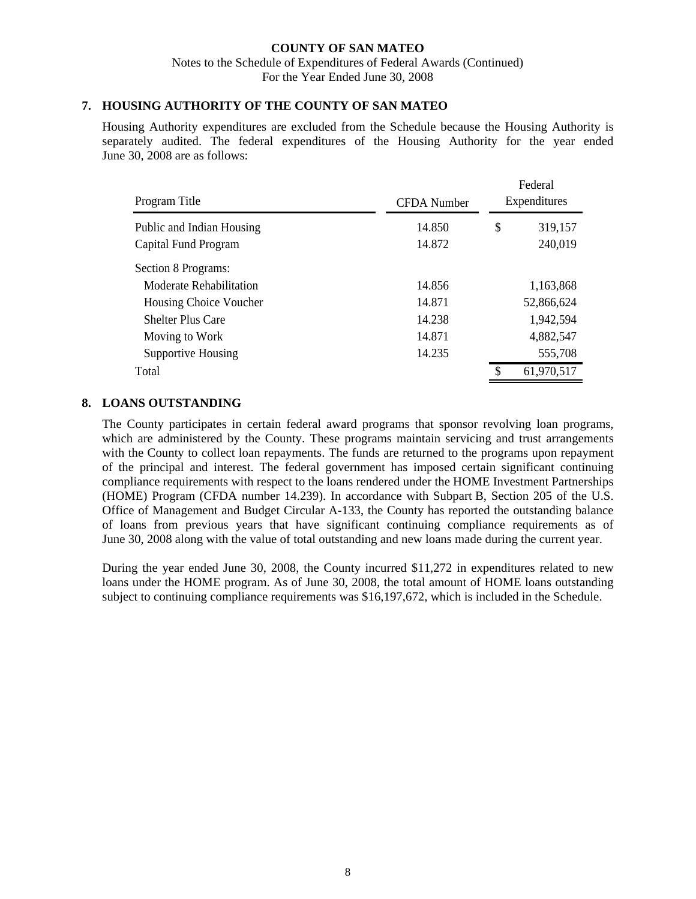## **7. HOUSING AUTHORITY OF THE COUNTY OF SAN MATEO**

Housing Authority expenditures are excluded from the Schedule because the Housing Authority is separately audited. The federal expenditures of the Housing Authority for the year ended June 30, 2008 are as follows:

| Program Title                                     | <b>CFDA</b> Number |                          | Federal<br>Expenditures |
|---------------------------------------------------|--------------------|--------------------------|-------------------------|
| Public and Indian Housing<br>Capital Fund Program | 14.850<br>14.872   | \$<br>319,157<br>240,019 |                         |
| Section 8 Programs:                               |                    |                          |                         |
| Moderate Rehabilitation                           | 14.856             |                          | 1,163,868               |
| Housing Choice Voucher                            | 14.871             |                          | 52,866,624              |
| <b>Shelter Plus Care</b>                          | 14.238             |                          | 1,942,594               |
| Moving to Work                                    | 14.871             |                          | 4,882,547               |
| Supportive Housing                                | 14.235             |                          | 555,708                 |
| Total                                             |                    | S                        | 61,970,517              |

## **8. LOANS OUTSTANDING**

The County participates in certain federal award programs that sponsor revolving loan programs, which are administered by the County. These programs maintain servicing and trust arrangements with the County to collect loan repayments. The funds are returned to the programs upon repayment of the principal and interest. The federal government has imposed certain significant continuing compliance requirements with respect to the loans rendered under the HOME Investment Partnerships (HOME) Program (CFDA number 14.239). In accordance with Subpart B, Section 205 of the U.S. Office of Management and Budget Circular A-133, the County has reported the outstanding balance of loans from previous years that have significant continuing compliance requirements as of June 30, 2008 along with the value of total outstanding and new loans made during the current year.

During the year ended June 30, 2008, the County incurred \$11,272 in expenditures related to new loans under the HOME program. As of June 30, 2008, the total amount of HOME loans outstanding subject to continuing compliance requirements was \$16,197,672, which is included in the Schedule.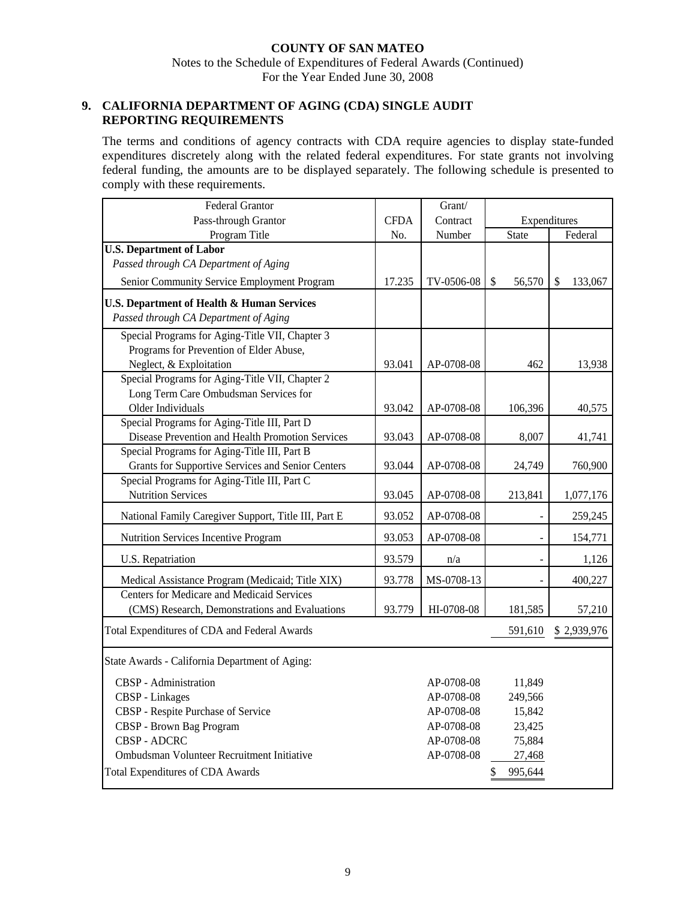## **9. CALIFORNIA DEPARTMENT OF AGING (CDA) SINGLE AUDIT REPORTING REQUIREMENTS**

The terms and conditions of agency contracts with CDA require agencies to display state-funded expenditures discretely along with the related federal expenditures. For state grants not involving federal funding, the amounts are to be displayed separately. The following schedule is presented to comply with these requirements.

| <b>Federal Grantor</b>                                |             | Grant/     |                         |                          |
|-------------------------------------------------------|-------------|------------|-------------------------|--------------------------|
| Pass-through Grantor                                  | <b>CFDA</b> | Contract   | Expenditures            |                          |
| Program Title                                         | No.         | Number     | State                   | Federal                  |
| <b>U.S. Department of Labor</b>                       |             |            |                         |                          |
| Passed through CA Department of Aging                 |             |            |                         |                          |
| Senior Community Service Employment Program           | 17.235      | TV-0506-08 | $\mathcal{S}$<br>56,570 | $\mathcal{S}$<br>133,067 |
| <b>U.S. Department of Health &amp; Human Services</b> |             |            |                         |                          |
| Passed through CA Department of Aging                 |             |            |                         |                          |
| Special Programs for Aging-Title VII, Chapter 3       |             |            |                         |                          |
| Programs for Prevention of Elder Abuse,               |             |            |                         |                          |
| Neglect, & Exploitation                               | 93.041      | AP-0708-08 | 462                     | 13,938                   |
| Special Programs for Aging-Title VII, Chapter 2       |             |            |                         |                          |
| Long Term Care Ombudsman Services for                 |             |            |                         |                          |
| Older Individuals                                     | 93.042      | AP-0708-08 | 106,396                 | 40,575                   |
| Special Programs for Aging-Title III, Part D          |             |            |                         |                          |
| Disease Prevention and Health Promotion Services      | 93.043      | AP-0708-08 | 8,007                   | 41,741                   |
| Special Programs for Aging-Title III, Part B          |             |            |                         |                          |
| Grants for Supportive Services and Senior Centers     | 93.044      | AP-0708-08 | 24,749                  | 760,900                  |
| Special Programs for Aging-Title III, Part C          |             |            |                         |                          |
| <b>Nutrition Services</b>                             | 93.045      | AP-0708-08 | 213,841                 | 1,077,176                |
| National Family Caregiver Support, Title III, Part E  | 93.052      | AP-0708-08 |                         | 259,245                  |
| Nutrition Services Incentive Program                  | 93.053      | AP-0708-08 | $\frac{1}{2}$           | 154,771                  |
| U.S. Repatriation                                     | 93.579      | n/a        |                         | 1,126                    |
| Medical Assistance Program (Medicaid; Title XIX)      | 93.778      | MS-0708-13 |                         | 400,227                  |
| <b>Centers for Medicare and Medicaid Services</b>     |             |            |                         |                          |
| (CMS) Research, Demonstrations and Evaluations        | 93.779      | HI-0708-08 | 181,585                 | 57,210                   |
| Total Expenditures of CDA and Federal Awards          |             |            | 591,610                 | \$2,939,976              |
| State Awards - California Department of Aging:        |             |            |                         |                          |
|                                                       |             |            |                         |                          |
| CBSP - Administration                                 |             | AP-0708-08 | 11,849                  |                          |
| CBSP - Linkages                                       |             | AP-0708-08 | 249,566                 |                          |
| CBSP - Respite Purchase of Service                    |             | AP-0708-08 | 15,842                  |                          |
| CBSP - Brown Bag Program                              |             | AP-0708-08 | 23,425                  |                          |
| <b>CBSP - ADCRC</b>                                   |             | AP-0708-08 | 75,884                  |                          |
| Ombudsman Volunteer Recruitment Initiative            |             | AP-0708-08 | 27,468                  |                          |
| <b>Total Expenditures of CDA Awards</b>               |             |            | 995,644<br>\$           |                          |
|                                                       |             |            |                         |                          |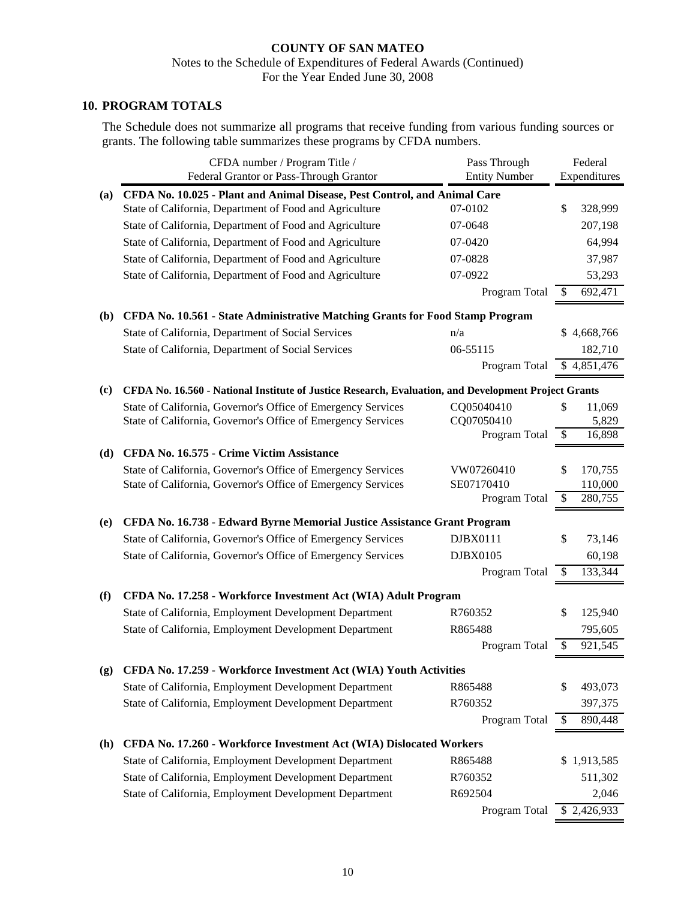## **10. PROGRAM TOTALS**

The Schedule does not summarize all programs that receive funding from various funding sources or grants. The following table summarizes these programs by CFDA numbers.

|                             | CFDA number / Program Title /                                                                        | Pass Through                                                                    |    | Federal                   |
|-----------------------------|------------------------------------------------------------------------------------------------------|---------------------------------------------------------------------------------|----|---------------------------|
|                             |                                                                                                      | <b>Entity Number</b><br>Federal Grantor or Pass-Through Grantor<br>Expenditures |    |                           |
| (a)                         | CFDA No. 10.025 - Plant and Animal Disease, Pest Control, and Animal Care                            |                                                                                 |    |                           |
|                             | State of California, Department of Food and Agriculture                                              | 07-0102                                                                         | \$ | 328,999                   |
|                             | State of California, Department of Food and Agriculture                                              | 07-0648                                                                         |    | 207,198                   |
|                             | State of California, Department of Food and Agriculture                                              | 07-0420                                                                         |    | 64,994                    |
|                             | State of California, Department of Food and Agriculture                                              | 07-0828                                                                         |    | 37,987                    |
|                             | State of California, Department of Food and Agriculture                                              | 07-0922                                                                         |    | 53,293                    |
|                             |                                                                                                      | Program Total                                                                   | \$ | 692,471                   |
| <b>(b)</b>                  | CFDA No. 10.561 - State Administrative Matching Grants for Food Stamp Program                        |                                                                                 |    |                           |
|                             | State of California, Department of Social Services                                                   | n/a                                                                             |    | \$4,668,766               |
|                             | State of California, Department of Social Services                                                   | 06-55115                                                                        |    | 182,710                   |
|                             |                                                                                                      | Program Total                                                                   |    | \$4,851,476               |
| $\left( \mathbf{c} \right)$ | CFDA No. 16.560 - National Institute of Justice Research, Evaluation, and Development Project Grants |                                                                                 |    |                           |
|                             | State of California, Governor's Office of Emergency Services                                         | CQ05040410                                                                      | \$ | 11,069                    |
|                             | State of California, Governor's Office of Emergency Services                                         | CQ07050410                                                                      |    | 5,829                     |
|                             |                                                                                                      | Program Total                                                                   | \$ | 16,898                    |
| (d)                         | CFDA No. 16.575 - Crime Victim Assistance                                                            |                                                                                 |    |                           |
|                             | State of California, Governor's Office of Emergency Services                                         | VW07260410                                                                      | \$ | 170,755                   |
|                             | State of California, Governor's Office of Emergency Services                                         | SE07170410                                                                      |    | 110,000                   |
|                             |                                                                                                      | Program Total                                                                   | \$ | 280,755                   |
| (e)                         | CFDA No. 16.738 - Edward Byrne Memorial Justice Assistance Grant Program                             |                                                                                 |    |                           |
|                             | State of California, Governor's Office of Emergency Services                                         | DJBX0111                                                                        | \$ | 73,146                    |
|                             | State of California, Governor's Office of Emergency Services                                         | DJBX0105                                                                        |    | 60,198                    |
|                             |                                                                                                      | Program Total                                                                   | \$ | 133,344                   |
| (f)                         | CFDA No. 17.258 - Workforce Investment Act (WIA) Adult Program                                       |                                                                                 |    |                           |
|                             | State of California, Employment Development Department                                               | R760352                                                                         | \$ | 125,940                   |
|                             | State of California, Employment Development Department                                               | R865488                                                                         |    | 795,605                   |
|                             |                                                                                                      | Program Total                                                                   | \$ | 921,545                   |
| (g)                         | CFDA No. 17.259 - Workforce Investment Act (WIA) Youth Activities                                    |                                                                                 |    |                           |
|                             | State of California, Employment Development Department                                               | R865488                                                                         | \$ | 493,073                   |
|                             | State of California, Employment Development Department                                               | R760352                                                                         |    | 397,375                   |
|                             |                                                                                                      | Program Total                                                                   | \$ | 890,448                   |
| (h)                         | CFDA No. 17.260 - Workforce Investment Act (WIA) Dislocated Workers                                  |                                                                                 |    |                           |
|                             | State of California, Employment Development Department                                               | R865488                                                                         |    | \$1,913,585               |
|                             | State of California, Employment Development Department                                               | R760352                                                                         |    | 511,302                   |
|                             | State of California, Employment Development Department                                               | R692504                                                                         |    | 2,046                     |
|                             |                                                                                                      | Program Total                                                                   |    | $\overline{\$}$ 2,426,933 |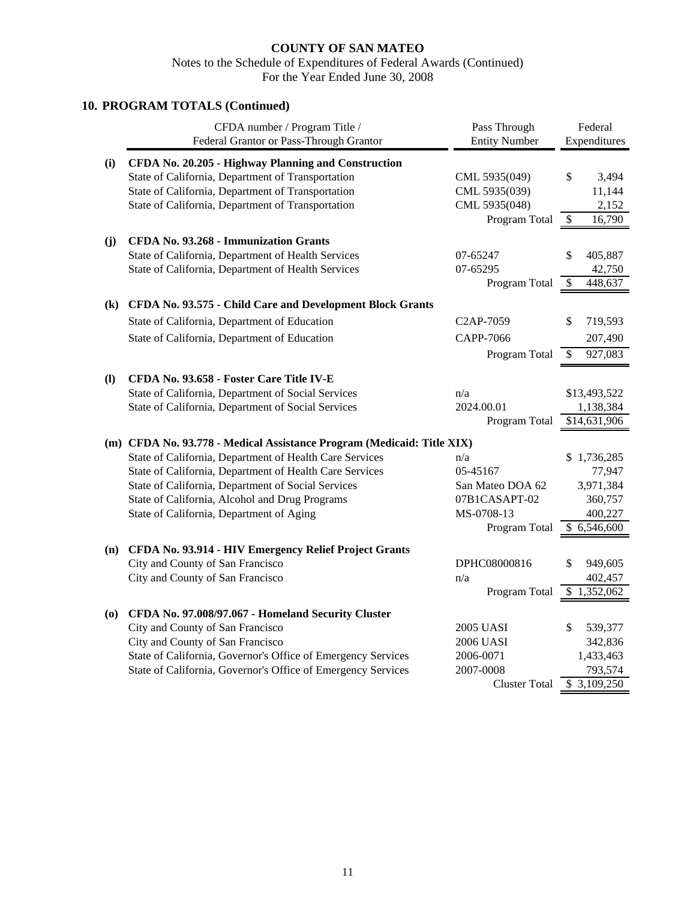## **10. PROGRAM TOTALS (Continued)**  CFDA number / Program Title / Pass Through Federal Federal Grantor or Pass-Through Grantor Entity Number Expenditures **(i) CFDA No. 20.205 - Highway Planning and Construction** State of California, Department of Transportation CML 5935(049) \$ 3,494 State of California, Department of Transportation CML 5935(039) 11,144 State of California, Department of Transportation CML 5935(048) 2,152 Program Total  $$ 16,790$ **(j) CFDA No. 93.268 - Immunization Grants** State of California, Department of Health Services 07-65247 \$ 405,887 State of California, Department of Health Services 07-65295 42,750 Program Total  $$448,637$ **(k) CFDA No. 93.575 - Child Care and Development Block Grants** State of California, Department of Education C2AP-7059 \$ 719,593 State of California, Department of Education CAPP-7066 207,490 Program Total  $\overline{\$}$  927,083 **(l) CFDA No. 93.658 - Foster Care Title IV-E** State of California, Department of Social Services n/a has n/a \$13,493,522 State of California, Department of Social Services 2024.00.01 1,138,384 Program Total  $$14,631,906$ **(m) CFDA No. 93.778 - Medical Assistance Program (Medicaid: Title XIX)** State of California, Department of Health Care Services n/a \$ 1,736,285 State of California, Department of Health Care Services 05-45167 77,947 State of California, Department of Social Services San Mateo DOA 62 3,971,384 State of California, Alcohol and Drug Programs 07B1CASAPT-02 360,757 State of California, Department of Aging MS-0708-13 400,227 Program Total  $$6,546,600$ **(n) CFDA No. 93.914 - HIV Emergency Relief Project Grants** City and County of San Francisco DPHC08000816  $\frac{1}{9}$  949,605 City and County of San Francisco n/a  $n/a$  402,457 Program Total  $$1,352,062$ **(o) CFDA No. 97.008/97.067 - Homeland Security Cluster** City and County of San Francisco 2005 UASI \$ 539,377 City and County of San Francisco 2006 UASI 342,836 State of California, Governor's Office of Emergency Services 2006-0071 1,433,463 State of California, Governor's Office of Emergency Services 2007-0008 793,574 Cluster Total  $$3,109,250$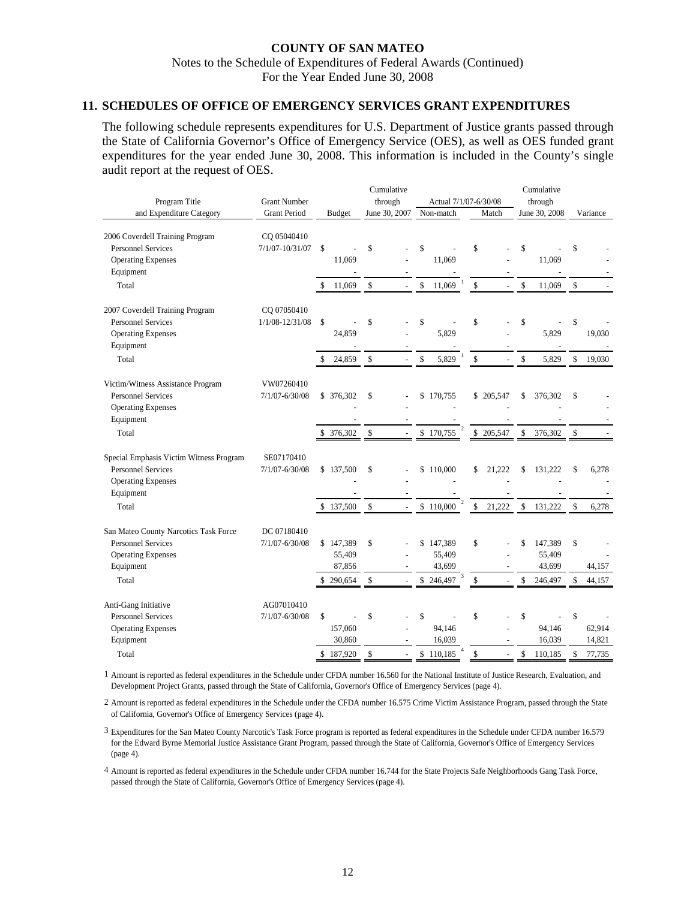#### **11. SCHEDULES OF OFFICE OF EMERGENCY SERVICES GRANT EXPENDITURES**

The following schedule represents expenditures for U.S. Department of Justice grants passed through the State of California Governor's Office of Emergency Service (OES), as well as OES funded grant expenditures for the year ended June 30, 2008. This information is included in the County's single audit report at the request of OES.

|                                                                                                                                |                                    |                                                             | Cumulative                                 |                                                             |                            | Cumulative                                                          |                                             |
|--------------------------------------------------------------------------------------------------------------------------------|------------------------------------|-------------------------------------------------------------|--------------------------------------------|-------------------------------------------------------------|----------------------------|---------------------------------------------------------------------|---------------------------------------------|
| Program Title                                                                                                                  | <b>Grant Number</b>                |                                                             | through                                    | Actual 7/1/07-6/30/08                                       |                            | through                                                             |                                             |
| and Expenditure Category                                                                                                       | <b>Grant Period</b>                | <b>Budget</b>                                               | June 30, 2007                              | Non-match                                                   | Match                      | June 30, 2008                                                       | Variance                                    |
| 2006 Coverdell Training Program<br><b>Personnel Services</b><br><b>Operating Expenses</b><br>Equipment                         | CQ 05040410<br>$7/1/07 - 10/31/07$ | $\mathcal{S}$<br>11,069                                     | \$<br>÷                                    | \$<br>11,069                                                | \$<br>$\overline{a}$       | \$<br>11,069                                                        | \$                                          |
| Total                                                                                                                          |                                    | 11,069                                                      | \$<br>$\overline{a}$                       | \$<br>11,069                                                | \$<br>$\overline{a}$       | \$<br>11,069                                                        | \$                                          |
| 2007 Coverdell Training Program<br><b>Personnel Services</b><br><b>Operating Expenses</b><br>Equipment                         | CQ 07050410<br>1/1/08-12/31/08     | \$<br>24,859                                                | \$                                         | \$<br>5,829                                                 | \$                         | \$<br>5,829                                                         | \$<br>19,030                                |
| Total                                                                                                                          |                                    | 24,859                                                      | \$<br>$\overline{a}$                       | \$<br>5,829                                                 | \$                         | \$<br>5,829                                                         | \$<br>19,030                                |
| Victim/Witness Assistance Program<br><b>Personnel Services</b><br><b>Operating Expenses</b><br>Equipment<br>Total              | VW07260410<br>$7/1/07 - 6/30/08$   | \$ 376,302<br>376,302                                       | \$<br>\$                                   | \$<br>170,755<br>\$170,755                                  | \$205,547<br>\$<br>205,547 | 376,302<br>\$<br>\$<br>376,302                                      | \$<br>\$                                    |
| Special Emphasis Victim Witness Program<br><b>Personnel Services</b><br><b>Operating Expenses</b><br>Equipment                 | SE07170410<br>$7/1/07 - 6/30/08$   | \$137,500                                                   | \$                                         | \$<br>110,000                                               | \$<br>21,222               | \$<br>131,222                                                       | \$<br>6,278                                 |
| Total<br>San Mateo County Narcotics Task Force<br><b>Personnel Services</b><br><b>Operating Expenses</b><br>Equipment<br>Total | DC 07180410<br>7/1/07-6/30/08      | \$137,500<br>\$147,389<br>55,409<br>87,856<br>290,654<br>\$ | \$<br>$\overline{\phantom{a}}$<br>\$<br>\$ | \$110,000<br>147,389<br>\$<br>55,409<br>43,699<br>\$246,497 | \$<br>21,222<br>\$<br>\$   | \$<br>131,222<br>\$<br>147,389<br>55,409<br>43,699<br>\$<br>246,497 | \$<br>6,278<br>\$<br>44,157<br>\$<br>44,157 |
| Anti-Gang Initiative<br><b>Personnel Services</b><br><b>Operating Expenses</b><br>Equipment<br>Total                           | AG07010410<br>7/1/07-6/30/08       | \$<br>157,060<br>30,860<br>\$187,920                        | \$<br>\$<br>$\overline{a}$                 | \$<br>94,146<br>16,039<br>\$110,185                         | \$<br>\$<br>$\overline{a}$ | \$<br>94,146<br>16,039<br>\$<br>110,185                             | \$<br>62,914<br>14,821<br>\$<br>77,735      |

1 Amount is reported as federal expenditures in the Schedule under CFDA number 16.560 for the National Institute of Justice Research, Evaluation, and Development Project Grants, passed through the State of California, Governor's Office of Emergency Services (page 4).

2 Amount is reported as federal expenditures in the Schedule under the CFDA number 16.575 Crime Victim Assistance Program, passed through the State of California, Governor's Office of Emergency Services (page 4).

3 Expenditures for the San Mateo County Narcotic's Task Force program is reported as federal expenditures in the Schedule under CFDA number 16.579 for the Edward Byrne Memorial Justice Assistance Grant Program, passed through the State of California, Governor's Office of Emergency Services (page 4).

4 Amount is reported as federal expenditures in the Schedule under CFDA number 16.744 for the State Projects Safe Neighborhoods Gang Task Force, passed through the State of California, Governor's Office of Emergency Services (page 4).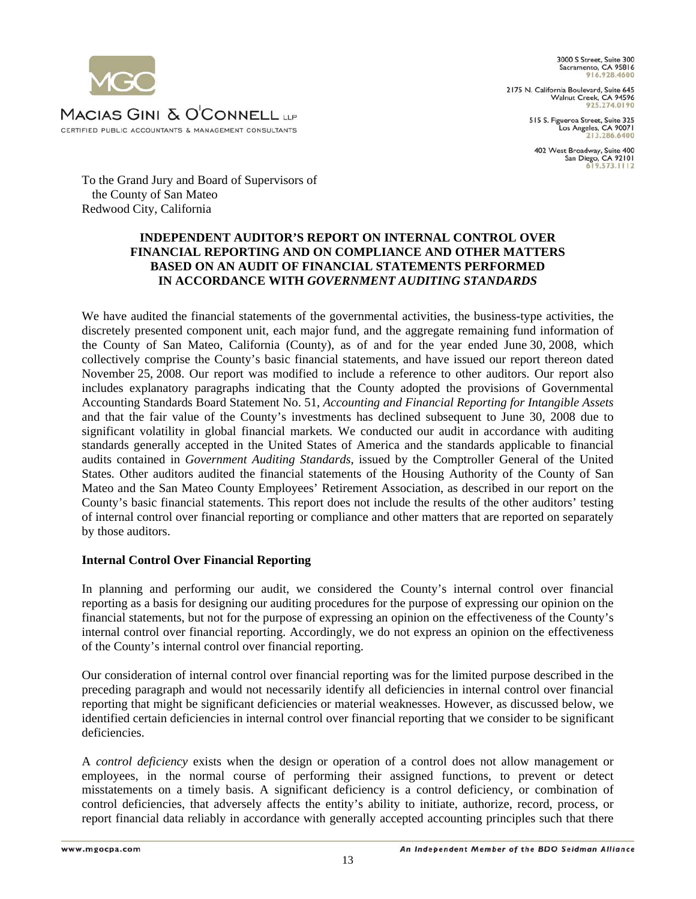3000 S Street, Suite 300 Sacramento, CA 95816 016 028 4600

2175 N. California Boulevard, Suite 645<br>Walnut Creek, CA 94596<br>925.274.0190

515 S. Figueroa Street, Suite 325 Los Angeles, CA 90071

402 West Broadway, Suite 400 San Diego, CA 92101

MACIAS GINI & O'CONNELL UP CERTIFIED PUBLIC ACCOUNTANTS & MANAGEMENT CONSULTANTS

To the Grand Jury and Board of Supervisors of the County of San Mateo Redwood City, California

## **INDEPENDENT AUDITOR'S REPORT ON INTERNAL CONTROL OVER FINANCIAL REPORTING AND ON COMPLIANCE AND OTHER MATTERS BASED ON AN AUDIT OF FINANCIAL STATEMENTS PERFORMED IN ACCORDANCE WITH** *GOVERNMENT AUDITING STANDARDS*

We have audited the financial statements of the governmental activities, the business-type activities, the discretely presented component unit, each major fund, and the aggregate remaining fund information of the County of San Mateo, California (County), as of and for the year ended June 30, 2008, which collectively comprise the County's basic financial statements, and have issued our report thereon dated November 25, 2008. Our report was modified to include a reference to other auditors. Our report also includes explanatory paragraphs indicating that the County adopted the provisions of Governmental Accounting Standards Board Statement No. 51, *Accounting and Financial Reporting for Intangible Assets* and that the fair value of the County's investments has declined subsequent to June 30, 2008 due to significant volatility in global financial markets*.* We conducted our audit in accordance with auditing standards generally accepted in the United States of America and the standards applicable to financial audits contained in *Government Auditing Standards*, issued by the Comptroller General of the United States*.* Other auditors audited the financial statements of the Housing Authority of the County of San Mateo and the San Mateo County Employees' Retirement Association, as described in our report on the County's basic financial statements. This report does not include the results of the other auditors' testing of internal control over financial reporting or compliance and other matters that are reported on separately by those auditors.

## **Internal Control Over Financial Reporting**

In planning and performing our audit, we considered the County's internal control over financial reporting as a basis for designing our auditing procedures for the purpose of expressing our opinion on the financial statements, but not for the purpose of expressing an opinion on the effectiveness of the County's internal control over financial reporting. Accordingly, we do not express an opinion on the effectiveness of the County's internal control over financial reporting.

Our consideration of internal control over financial reporting was for the limited purpose described in the preceding paragraph and would not necessarily identify all deficiencies in internal control over financial reporting that might be significant deficiencies or material weaknesses. However, as discussed below, we identified certain deficiencies in internal control over financial reporting that we consider to be significant deficiencies.

A *control deficiency* exists when the design or operation of a control does not allow management or employees, in the normal course of performing their assigned functions, to prevent or detect misstatements on a timely basis. A significant deficiency is a control deficiency, or combination of control deficiencies, that adversely affects the entity's ability to initiate, authorize, record, process, or report financial data reliably in accordance with generally accepted accounting principles such that there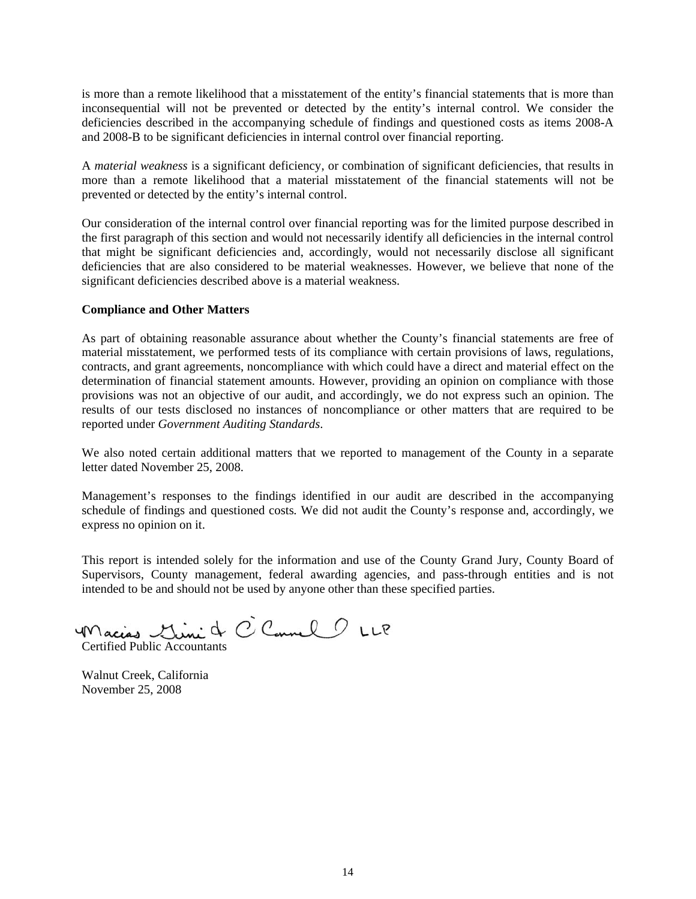is more than a remote likelihood that a misstatement of the entity's financial statements that is more than inconsequential will not be prevented or detected by the entity's internal control. We consider the deficiencies described in the accompanying schedule of findings and questioned costs as items 2008-A and 2008-B to be significant deficiencies in internal control over financial reporting.

A *material weakness* is a significant deficiency, or combination of significant deficiencies, that results in more than a remote likelihood that a material misstatement of the financial statements will not be prevented or detected by the entity's internal control.

Our consideration of the internal control over financial reporting was for the limited purpose described in the first paragraph of this section and would not necessarily identify all deficiencies in the internal control that might be significant deficiencies and, accordingly, would not necessarily disclose all significant deficiencies that are also considered to be material weaknesses. However, we believe that none of the significant deficiencies described above is a material weakness.

#### **Compliance and Other Matters**

As part of obtaining reasonable assurance about whether the County's financial statements are free of material misstatement, we performed tests of its compliance with certain provisions of laws, regulations, contracts, and grant agreements, noncompliance with which could have a direct and material effect on the determination of financial statement amounts. However, providing an opinion on compliance with those provisions was not an objective of our audit, and accordingly, we do not express such an opinion. The results of our tests disclosed no instances of noncompliance or other matters that are required to be reported under *Government Auditing Standards*.

We also noted certain additional matters that we reported to management of the County in a separate letter dated November 25, 2008.

Management's responses to the findings identified in our audit are described in the accompanying schedule of findings and questioned costs*.* We did not audit the County's response and, accordingly, we express no opinion on it.

This report is intended solely for the information and use of the County Grand Jury, County Board of Supervisors, County management, federal awarding agencies, and pass-through entities and is not intended to be and should not be used by anyone other than these specified parties.

Macias Lini & C Connel 1 LLP

Walnut Creek, California November 25, 2008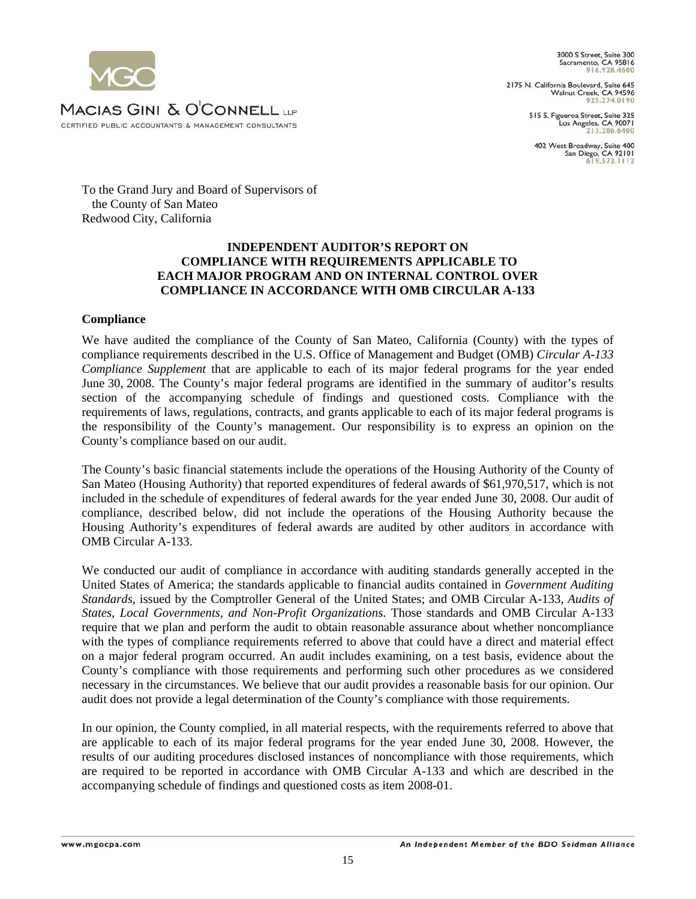3000 S Street, Suite 300 Sacramento, CA 95816

2175 N. California Boulevard, Suite 645 Walnut Creek, CA 94596 925.274.0190

> 515 S. Figueroa Street, Suite 325<br>Los Angeles, CA 90071 213, 286, 6400

402 West Broadway, Suite 400<br>San Diego, CA 92101  $9573111$ 

MACIAS GINI & O'CONNELL LEP CERTIFIED PUBLIC ACCOUNTANTS & MANAGEMENT CONSULTANTS

To the Grand Jury and Board of Supervisors of the County of San Mateo Redwood City, California

## **INDEPENDENT AUDITOR'S REPORT ON COMPLIANCE WITH REQUIREMENTS APPLICABLE TO EACH MAJOR PROGRAM AND ON INTERNAL CONTROL OVER COMPLIANCE IN ACCORDANCE WITH OMB CIRCULAR A-133**

## **Compliance**

We have audited the compliance of the County of San Mateo, California (County) with the types of compliance requirements described in the U.S. Office of Management and Budget (OMB) *Circular A-133 Compliance Supplement* that are applicable to each of its major federal programs for the year ended June 30, 2008. The County's major federal programs are identified in the summary of auditor's results section of the accompanying schedule of findings and questioned costs. Compliance with the requirements of laws, regulations, contracts, and grants applicable to each of its major federal programs is the responsibility of the County's management. Our responsibility is to express an opinion on the County's compliance based on our audit.

The County's basic financial statements include the operations of the Housing Authority of the County of San Mateo (Housing Authority) that reported expenditures of federal awards of \$61,970,517, which is not included in the schedule of expenditures of federal awards for the year ended June 30, 2008. Our audit of compliance, described below, did not include the operations of the Housing Authority because the Housing Authority's expenditures of federal awards are audited by other auditors in accordance with OMB Circular A-133.

We conducted our audit of compliance in accordance with auditing standards generally accepted in the United States of America; the standards applicable to financial audits contained in *Government Auditing Standards*, issued by the Comptroller General of the United States; and OMB Circular A-133, *Audits of States, Local Governments, and Non-Profit Organizations*. Those standards and OMB Circular A-133 require that we plan and perform the audit to obtain reasonable assurance about whether noncompliance with the types of compliance requirements referred to above that could have a direct and material effect on a major federal program occurred. An audit includes examining, on a test basis, evidence about the County's compliance with those requirements and performing such other procedures as we considered necessary in the circumstances. We believe that our audit provides a reasonable basis for our opinion. Our audit does not provide a legal determination of the County's compliance with those requirements.

In our opinion, the County complied, in all material respects, with the requirements referred to above that are applicable to each of its major federal programs for the year ended June 30, 2008. However, the results of our auditing procedures disclosed instances of noncompliance with those requirements, which are required to be reported in accordance with OMB Circular A-133 and which are described in the accompanying schedule of findings and questioned costs as item 2008-01.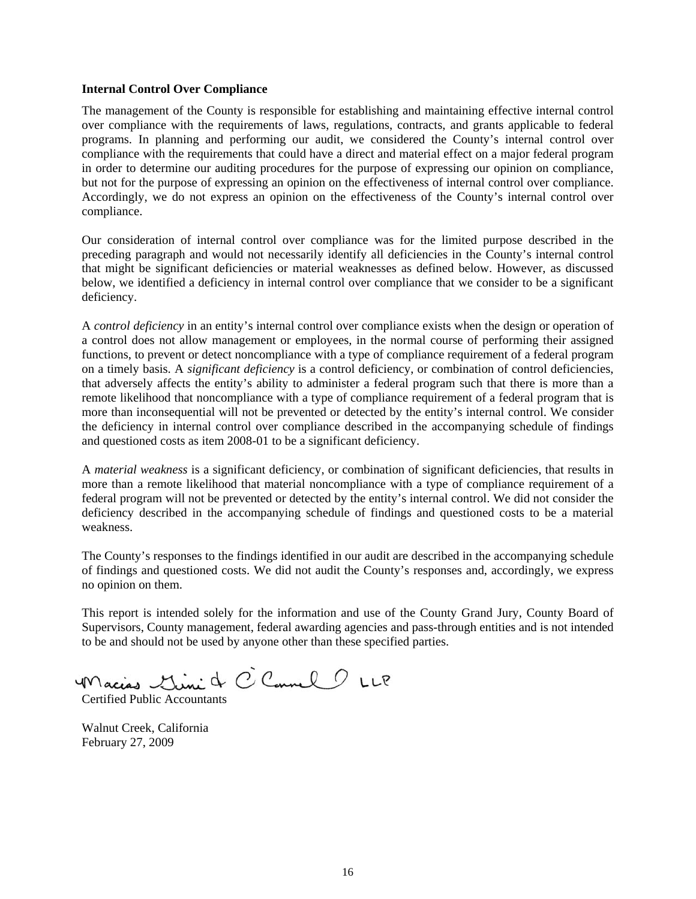#### **Internal Control Over Compliance**

The management of the County is responsible for establishing and maintaining effective internal control over compliance with the requirements of laws, regulations, contracts, and grants applicable to federal programs. In planning and performing our audit, we considered the County's internal control over compliance with the requirements that could have a direct and material effect on a major federal program in order to determine our auditing procedures for the purpose of expressing our opinion on compliance, but not for the purpose of expressing an opinion on the effectiveness of internal control over compliance. Accordingly, we do not express an opinion on the effectiveness of the County's internal control over compliance.

Our consideration of internal control over compliance was for the limited purpose described in the preceding paragraph and would not necessarily identify all deficiencies in the County's internal control that might be significant deficiencies or material weaknesses as defined below. However, as discussed below, we identified a deficiency in internal control over compliance that we consider to be a significant deficiency.

A *control deficiency* in an entity's internal control over compliance exists when the design or operation of a control does not allow management or employees, in the normal course of performing their assigned functions, to prevent or detect noncompliance with a type of compliance requirement of a federal program on a timely basis. A *significant deficiency* is a control deficiency, or combination of control deficiencies, that adversely affects the entity's ability to administer a federal program such that there is more than a remote likelihood that noncompliance with a type of compliance requirement of a federal program that is more than inconsequential will not be prevented or detected by the entity's internal control. We consider the deficiency in internal control over compliance described in the accompanying schedule of findings and questioned costs as item 2008-01 to be a significant deficiency.

A *material weakness* is a significant deficiency, or combination of significant deficiencies, that results in more than a remote likelihood that material noncompliance with a type of compliance requirement of a federal program will not be prevented or detected by the entity's internal control. We did not consider the deficiency described in the accompanying schedule of findings and questioned costs to be a material weakness.

The County's responses to the findings identified in our audit are described in the accompanying schedule of findings and questioned costs. We did not audit the County's responses and, accordingly, we express no opinion on them.

This report is intended solely for the information and use of the County Grand Jury, County Board of Supervisors, County management, federal awarding agencies and pass-through entities and is not intended to be and should not be used by anyone other than these specified parties.

Macias Mini & C Connel 1 LLP

Walnut Creek, California February 27, 2009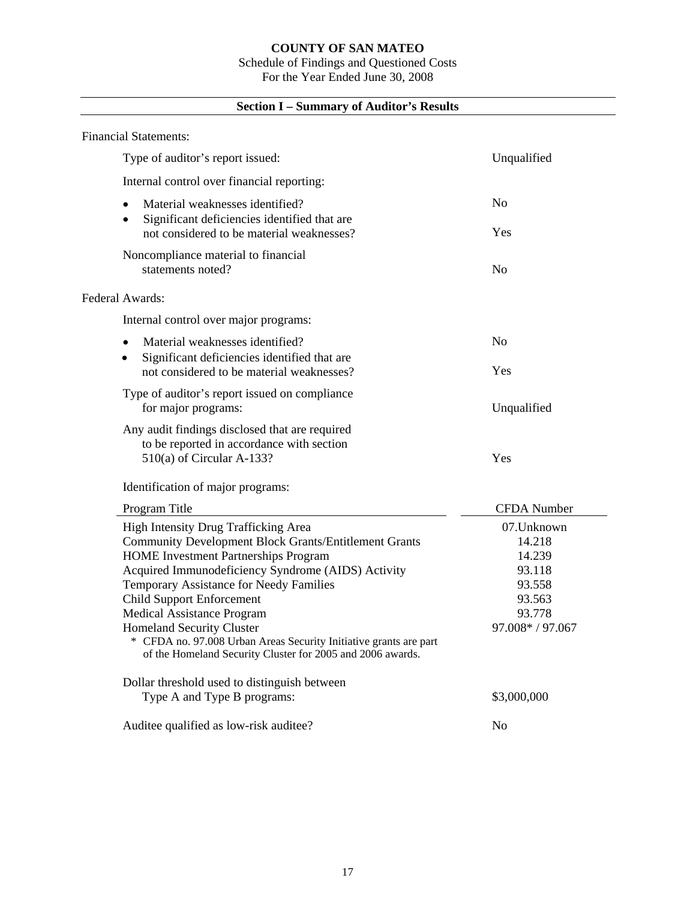# Schedule of Findings and Questioned Costs

For the Year Ended June 30, 2008

# **Section I – Summary of Auditor's Results**

| <b>Financial Statements:</b>                                                                                                                                                                                                                                                                                                                                                                                                                                                                  |                                                                                           |
|-----------------------------------------------------------------------------------------------------------------------------------------------------------------------------------------------------------------------------------------------------------------------------------------------------------------------------------------------------------------------------------------------------------------------------------------------------------------------------------------------|-------------------------------------------------------------------------------------------|
| Type of auditor's report issued:                                                                                                                                                                                                                                                                                                                                                                                                                                                              | Unqualified                                                                               |
| Internal control over financial reporting:                                                                                                                                                                                                                                                                                                                                                                                                                                                    |                                                                                           |
| Material weaknesses identified?<br>$\bullet$<br>Significant deficiencies identified that are<br>$\bullet$<br>not considered to be material weaknesses?                                                                                                                                                                                                                                                                                                                                        | No<br>Yes                                                                                 |
| Noncompliance material to financial<br>statements noted?                                                                                                                                                                                                                                                                                                                                                                                                                                      | No                                                                                        |
| Federal Awards:                                                                                                                                                                                                                                                                                                                                                                                                                                                                               |                                                                                           |
| Internal control over major programs:                                                                                                                                                                                                                                                                                                                                                                                                                                                         |                                                                                           |
| Material weaknesses identified?<br>$\bullet$<br>Significant deficiencies identified that are<br>$\bullet$                                                                                                                                                                                                                                                                                                                                                                                     | N <sub>0</sub>                                                                            |
| not considered to be material weaknesses?                                                                                                                                                                                                                                                                                                                                                                                                                                                     | Yes                                                                                       |
| Type of auditor's report issued on compliance<br>for major programs:                                                                                                                                                                                                                                                                                                                                                                                                                          | Unqualified                                                                               |
| Any audit findings disclosed that are required<br>to be reported in accordance with section<br>$510(a)$ of Circular A-133?                                                                                                                                                                                                                                                                                                                                                                    | Yes                                                                                       |
| Identification of major programs:                                                                                                                                                                                                                                                                                                                                                                                                                                                             |                                                                                           |
| Program Title                                                                                                                                                                                                                                                                                                                                                                                                                                                                                 | <b>CFDA</b> Number                                                                        |
| High Intensity Drug Trafficking Area<br><b>Community Development Block Grants/Entitlement Grants</b><br><b>HOME</b> Investment Partnerships Program<br>Acquired Immunodeficiency Syndrome (AIDS) Activity<br>Temporary Assistance for Needy Families<br><b>Child Support Enforcement</b><br>Medical Assistance Program<br><b>Homeland Security Cluster</b><br>* CFDA no. 97.008 Urban Areas Security Initiative grants are part<br>of the Homeland Security Cluster for 2005 and 2006 awards. | 07. Unknown<br>14.218<br>14.239<br>93.118<br>93.558<br>93.563<br>93.778<br>97.008*/97.067 |
| Dollar threshold used to distinguish between                                                                                                                                                                                                                                                                                                                                                                                                                                                  |                                                                                           |
| Type A and Type B programs:                                                                                                                                                                                                                                                                                                                                                                                                                                                                   | \$3,000,000                                                                               |
| Auditee qualified as low-risk auditee?                                                                                                                                                                                                                                                                                                                                                                                                                                                        | No                                                                                        |

 $\mathbb{R}$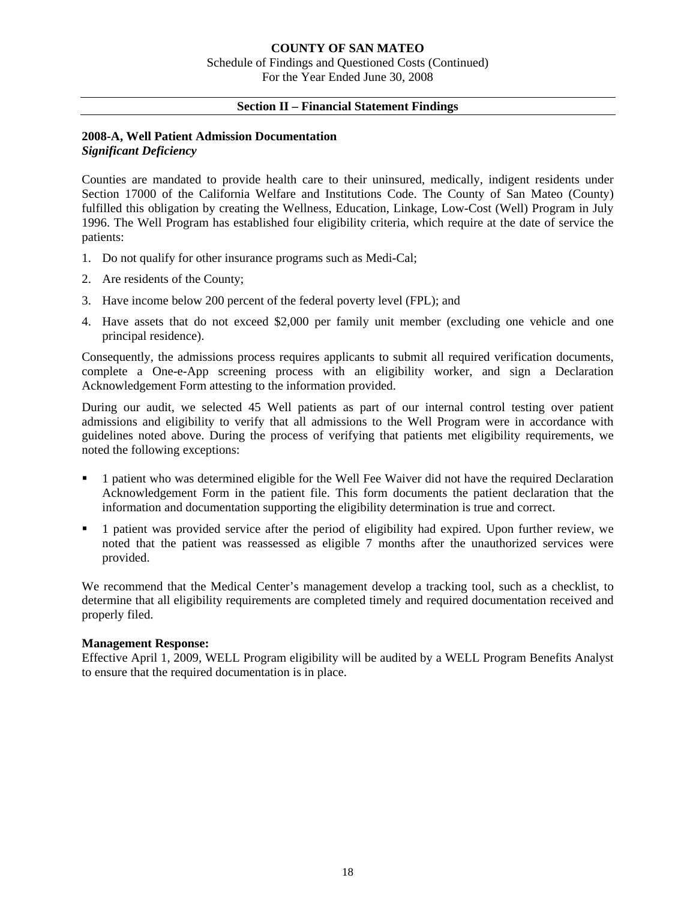## **Section II – Financial Statement Findings**

#### **2008-A, Well Patient Admission Documentation**  *Significant Deficiency*

Counties are mandated to provide health care to their uninsured, medically, indigent residents under Section 17000 of the California Welfare and Institutions Code. The County of San Mateo (County) fulfilled this obligation by creating the Wellness, Education, Linkage, Low-Cost (Well) Program in July 1996. The Well Program has established four eligibility criteria, which require at the date of service the patients:

- 1. Do not qualify for other insurance programs such as Medi-Cal;
- 2. Are residents of the County;
- 3. Have income below 200 percent of the federal poverty level (FPL); and
- 4. Have assets that do not exceed \$2,000 per family unit member (excluding one vehicle and one principal residence).

Consequently, the admissions process requires applicants to submit all required verification documents, complete a One-e-App screening process with an eligibility worker, and sign a Declaration Acknowledgement Form attesting to the information provided.

During our audit, we selected 45 Well patients as part of our internal control testing over patient admissions and eligibility to verify that all admissions to the Well Program were in accordance with guidelines noted above. During the process of verifying that patients met eligibility requirements, we noted the following exceptions:

- 1 patient who was determined eligible for the Well Fee Waiver did not have the required Declaration Acknowledgement Form in the patient file. This form documents the patient declaration that the information and documentation supporting the eligibility determination is true and correct.
- 1 patient was provided service after the period of eligibility had expired. Upon further review, we noted that the patient was reassessed as eligible 7 months after the unauthorized services were provided.

We recommend that the Medical Center's management develop a tracking tool, such as a checklist, to determine that all eligibility requirements are completed timely and required documentation received and properly filed.

#### **Management Response:**

Effective April 1, 2009, WELL Program eligibility will be audited by a WELL Program Benefits Analyst to ensure that the required documentation is in place.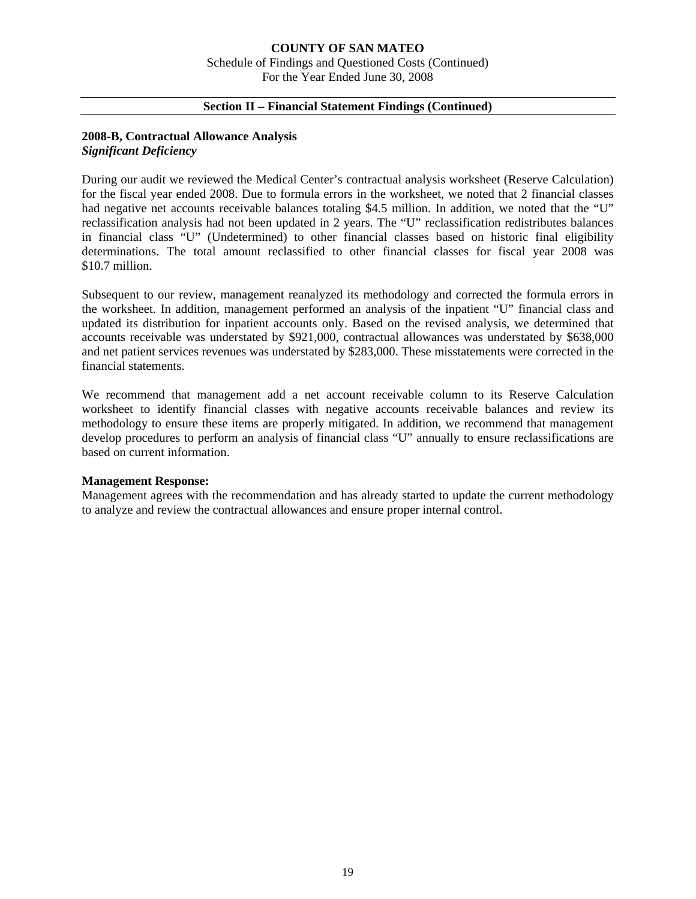## **COUNTY OF SAN MATEO**  Schedule of Findings and Questioned Costs (Continued) For the Year Ended June 30, 2008

## **Section II – Financial Statement Findings (Continued)**

## **2008-B, Contractual Allowance Analysis**  *Significant Deficiency*

During our audit we reviewed the Medical Center's contractual analysis worksheet (Reserve Calculation) for the fiscal year ended 2008. Due to formula errors in the worksheet, we noted that 2 financial classes had negative net accounts receivable balances totaling \$4.5 million. In addition, we noted that the "U" reclassification analysis had not been updated in 2 years. The "U" reclassification redistributes balances in financial class "U" (Undetermined) to other financial classes based on historic final eligibility determinations. The total amount reclassified to other financial classes for fiscal year 2008 was \$10.7 million.

Subsequent to our review, management reanalyzed its methodology and corrected the formula errors in the worksheet. In addition, management performed an analysis of the inpatient "U" financial class and updated its distribution for inpatient accounts only. Based on the revised analysis, we determined that accounts receivable was understated by \$921,000, contractual allowances was understated by \$638,000 and net patient services revenues was understated by \$283,000. These misstatements were corrected in the financial statements.

We recommend that management add a net account receivable column to its Reserve Calculation worksheet to identify financial classes with negative accounts receivable balances and review its methodology to ensure these items are properly mitigated. In addition, we recommend that management develop procedures to perform an analysis of financial class "U" annually to ensure reclassifications are based on current information.

## **Management Response:**

Management agrees with the recommendation and has already started to update the current methodology to analyze and review the contractual allowances and ensure proper internal control.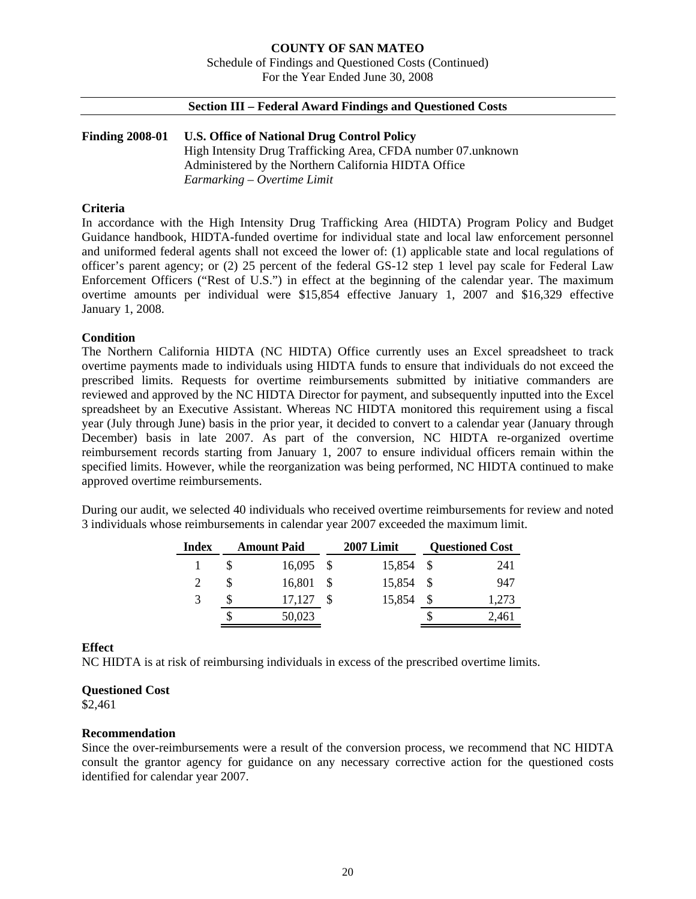#### **COUNTY OF SAN MATEO**  Schedule of Findings and Questioned Costs (Continued) For the Year Ended June 30, 2008

## **Section III – Federal Award Findings and Questioned Costs**

## **Finding 2008-01 U.S. Office of National Drug Control Policy**  High Intensity Drug Trafficking Area, CFDA number 07.unknown Administered by the Northern California HIDTA Office *Earmarking – Overtime Limit*

## **Criteria**

In accordance with the High Intensity Drug Trafficking Area (HIDTA) Program Policy and Budget Guidance handbook, HIDTA-funded overtime for individual state and local law enforcement personnel and uniformed federal agents shall not exceed the lower of: (1) applicable state and local regulations of officer's parent agency; or (2) 25 percent of the federal GS-12 step 1 level pay scale for Federal Law Enforcement Officers ("Rest of U.S.") in effect at the beginning of the calendar year. The maximum overtime amounts per individual were \$15,854 effective January 1, 2007 and \$16,329 effective January 1, 2008.

#### **Condition**

The Northern California HIDTA (NC HIDTA) Office currently uses an Excel spreadsheet to track overtime payments made to individuals using HIDTA funds to ensure that individuals do not exceed the prescribed limits. Requests for overtime reimbursements submitted by initiative commanders are reviewed and approved by the NC HIDTA Director for payment, and subsequently inputted into the Excel spreadsheet by an Executive Assistant. Whereas NC HIDTA monitored this requirement using a fiscal year (July through June) basis in the prior year, it decided to convert to a calendar year (January through December) basis in late 2007. As part of the conversion, NC HIDTA re-organized overtime reimbursement records starting from January 1, 2007 to ensure individual officers remain within the specified limits. However, while the reorganization was being performed, NC HIDTA continued to make approved overtime reimbursements.

During our audit, we selected 40 individuals who received overtime reimbursements for review and noted 3 individuals whose reimbursements in calendar year 2007 exceeded the maximum limit.

| <b>Index</b> |   | <b>Amount Paid</b> | 2007 Limit | <b>Questioned Cost</b> |
|--------------|---|--------------------|------------|------------------------|
|              |   | $16,095$ \$        | 15,854 \$  | 241                    |
|              |   | 16,801             | 15,854 \$  | 947                    |
|              | S | 17,127             | 15,854     | 1,273                  |
|              |   | 50,023             |            | 2,461                  |

## **Effect**

NC HIDTA is at risk of reimbursing individuals in excess of the prescribed overtime limits.

#### **Questioned Cost**

\$2,461

#### **Recommendation**

Since the over-reimbursements were a result of the conversion process, we recommend that NC HIDTA consult the grantor agency for guidance on any necessary corrective action for the questioned costs identified for calendar year 2007.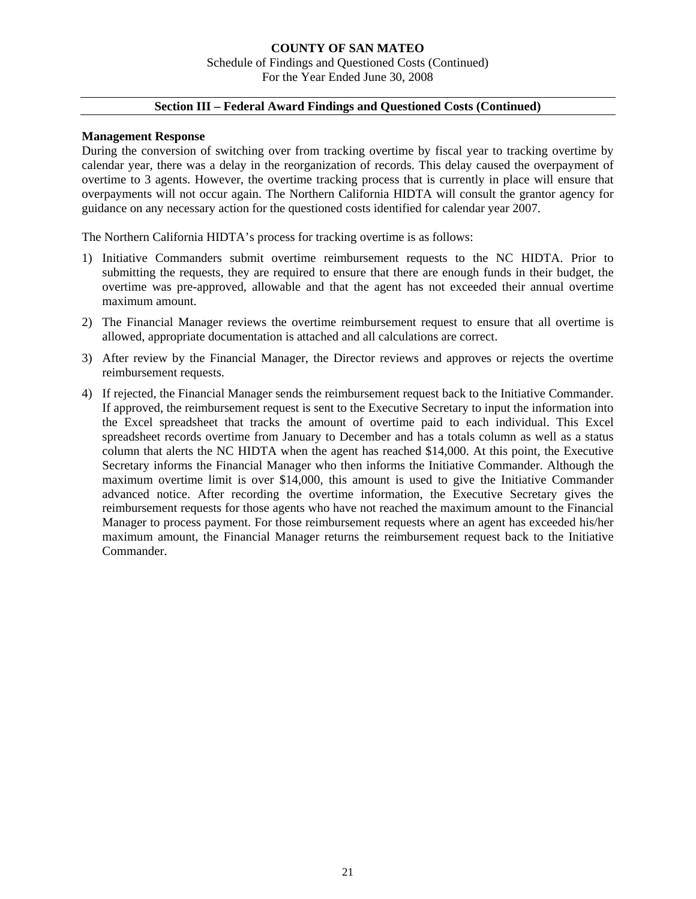## **COUNTY OF SAN MATEO**  Schedule of Findings and Questioned Costs (Continued) For the Year Ended June 30, 2008

## **Section III – Federal Award Findings and Questioned Costs (Continued)**

#### **Management Response**

During the conversion of switching over from tracking overtime by fiscal year to tracking overtime by calendar year, there was a delay in the reorganization of records. This delay caused the overpayment of overtime to 3 agents. However, the overtime tracking process that is currently in place will ensure that overpayments will not occur again. The Northern California HIDTA will consult the grantor agency for guidance on any necessary action for the questioned costs identified for calendar year 2007.

The Northern California HIDTA's process for tracking overtime is as follows:

- 1) Initiative Commanders submit overtime reimbursement requests to the NC HIDTA. Prior to submitting the requests, they are required to ensure that there are enough funds in their budget, the overtime was pre-approved, allowable and that the agent has not exceeded their annual overtime maximum amount.
- 2) The Financial Manager reviews the overtime reimbursement request to ensure that all overtime is allowed, appropriate documentation is attached and all calculations are correct.
- 3) After review by the Financial Manager, the Director reviews and approves or rejects the overtime reimbursement requests.
- 4) If rejected, the Financial Manager sends the reimbursement request back to the Initiative Commander. If approved, the reimbursement request is sent to the Executive Secretary to input the information into the Excel spreadsheet that tracks the amount of overtime paid to each individual. This Excel spreadsheet records overtime from January to December and has a totals column as well as a status column that alerts the NC HIDTA when the agent has reached \$14,000. At this point, the Executive Secretary informs the Financial Manager who then informs the Initiative Commander. Although the maximum overtime limit is over \$14,000, this amount is used to give the Initiative Commander advanced notice. After recording the overtime information, the Executive Secretary gives the reimbursement requests for those agents who have not reached the maximum amount to the Financial Manager to process payment. For those reimbursement requests where an agent has exceeded his/her maximum amount, the Financial Manager returns the reimbursement request back to the Initiative Commander.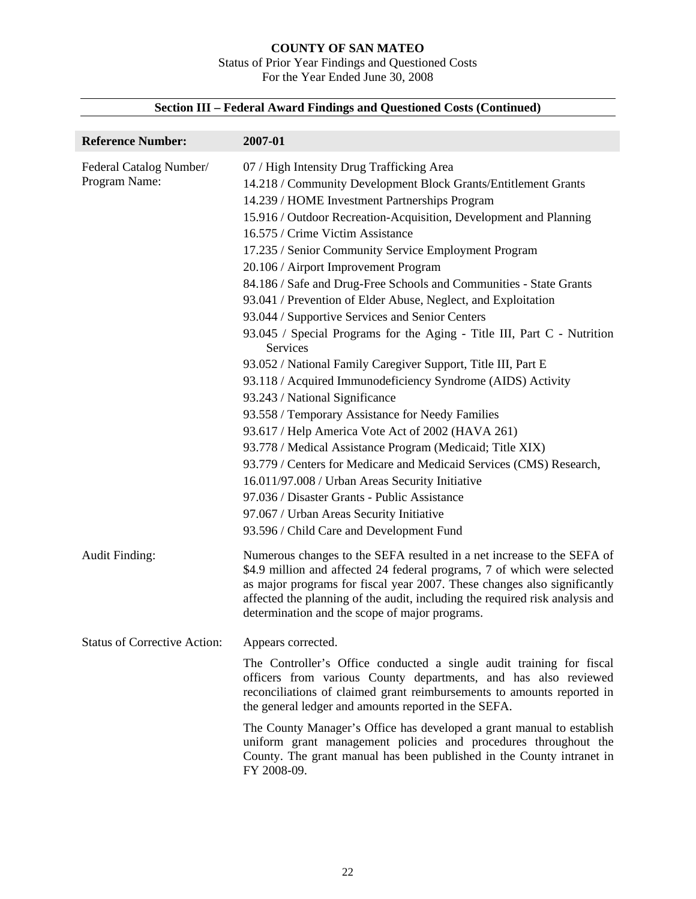#### **COUNTY OF SAN MATEO**  Status of Prior Year Findings and Questioned Costs For the Year Ended June 30, 2008

| <b>Reference Number:</b>                 | 2007-01                                                                                                                                                                                                                                                                                                                                                                                                                                                                                                                                                                                                                                                                                                                                                                                                                                                                                                                                                                                                                                                                                                                                                                                                                                                          |
|------------------------------------------|------------------------------------------------------------------------------------------------------------------------------------------------------------------------------------------------------------------------------------------------------------------------------------------------------------------------------------------------------------------------------------------------------------------------------------------------------------------------------------------------------------------------------------------------------------------------------------------------------------------------------------------------------------------------------------------------------------------------------------------------------------------------------------------------------------------------------------------------------------------------------------------------------------------------------------------------------------------------------------------------------------------------------------------------------------------------------------------------------------------------------------------------------------------------------------------------------------------------------------------------------------------|
| Federal Catalog Number/<br>Program Name: | 07 / High Intensity Drug Trafficking Area<br>14.218 / Community Development Block Grants/Entitlement Grants<br>14.239 / HOME Investment Partnerships Program<br>15.916 / Outdoor Recreation-Acquisition, Development and Planning<br>16.575 / Crime Victim Assistance<br>17.235 / Senior Community Service Employment Program<br>20.106 / Airport Improvement Program<br>84.186 / Safe and Drug-Free Schools and Communities - State Grants<br>93.041 / Prevention of Elder Abuse, Neglect, and Exploitation<br>93.044 / Supportive Services and Senior Centers<br>93.045 / Special Programs for the Aging - Title III, Part C - Nutrition<br>Services<br>93.052 / National Family Caregiver Support, Title III, Part E<br>93.118 / Acquired Immunodeficiency Syndrome (AIDS) Activity<br>93.243 / National Significance<br>93.558 / Temporary Assistance for Needy Families<br>93.617 / Help America Vote Act of 2002 (HAVA 261)<br>93.778 / Medical Assistance Program (Medicaid; Title XIX)<br>93.779 / Centers for Medicare and Medicaid Services (CMS) Research,<br>16.011/97.008 / Urban Areas Security Initiative<br>97.036 / Disaster Grants - Public Assistance<br>97.067 / Urban Areas Security Initiative<br>93.596 / Child Care and Development Fund |
| <b>Audit Finding:</b>                    | Numerous changes to the SEFA resulted in a net increase to the SEFA of<br>\$4.9 million and affected 24 federal programs, 7 of which were selected<br>as major programs for fiscal year 2007. These changes also significantly<br>affected the planning of the audit, including the required risk analysis and<br>determination and the scope of major programs.                                                                                                                                                                                                                                                                                                                                                                                                                                                                                                                                                                                                                                                                                                                                                                                                                                                                                                 |
| <b>Status of Corrective Action:</b>      | Appears corrected.<br>The Controller's Office conducted a single audit training for fiscal<br>officers from various County departments, and has also reviewed<br>reconciliations of claimed grant reimbursements to amounts reported in<br>the general ledger and amounts reported in the SEFA.<br>The County Manager's Office has developed a grant manual to establish<br>uniform grant management policies and procedures throughout the<br>County. The grant manual has been published in the County intranet in<br>FY 2008-09.                                                                                                                                                                                                                                                                                                                                                                                                                                                                                                                                                                                                                                                                                                                              |